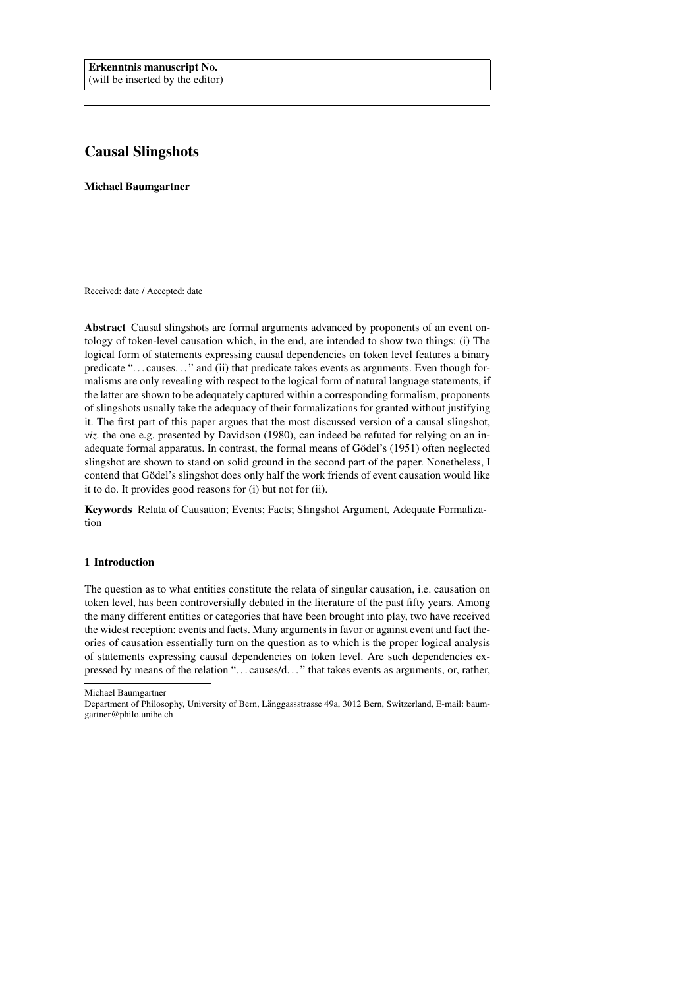# Causal Slingshots

Michael Baumgartner

Received: date / Accepted: date

Abstract Causal slingshots are formal arguments advanced by proponents of an event ontology of token-level causation which, in the end, are intended to show two things: (i) The logical form of statements expressing causal dependencies on token level features a binary predicate "... causes..." and (ii) that predicate takes events as arguments. Even though formalisms are only revealing with respect to the logical form of natural language statements, if the latter are shown to be adequately captured within a corresponding formalism, proponents of slingshots usually take the adequacy of their formalizations for granted without justifying it. The first part of this paper argues that the most discussed version of a causal slingshot, *viz.* the one e.g. presented by Davidson (1980), can indeed be refuted for relying on an inadequate formal apparatus. In contrast, the formal means of Gödel's (1951) often neglected slingshot are shown to stand on solid ground in the second part of the paper. Nonetheless, I contend that Gödel's slingshot does only half the work friends of event causation would like it to do. It provides good reasons for (i) but not for (ii).

Keywords Relata of Causation; Events; Facts; Slingshot Argument, Adequate Formalization

## 1 Introduction

The question as to what entities constitute the relata of singular causation, i.e. causation on token level, has been controversially debated in the literature of the past fifty years. Among the many different entities or categories that have been brought into play, two have received the widest reception: events and facts. Many arguments in favor or against event and fact theories of causation essentially turn on the question as to which is the proper logical analysis of statements expressing causal dependencies on token level. Are such dependencies expressed by means of the relation "... causes/d..." that takes events as arguments, or, rather,

Michael Baumgartner

Department of Philosophy, University of Bern, Länggassstrasse 49a, 3012 Bern, Switzerland, E-mail: baumgartner@philo.unibe.ch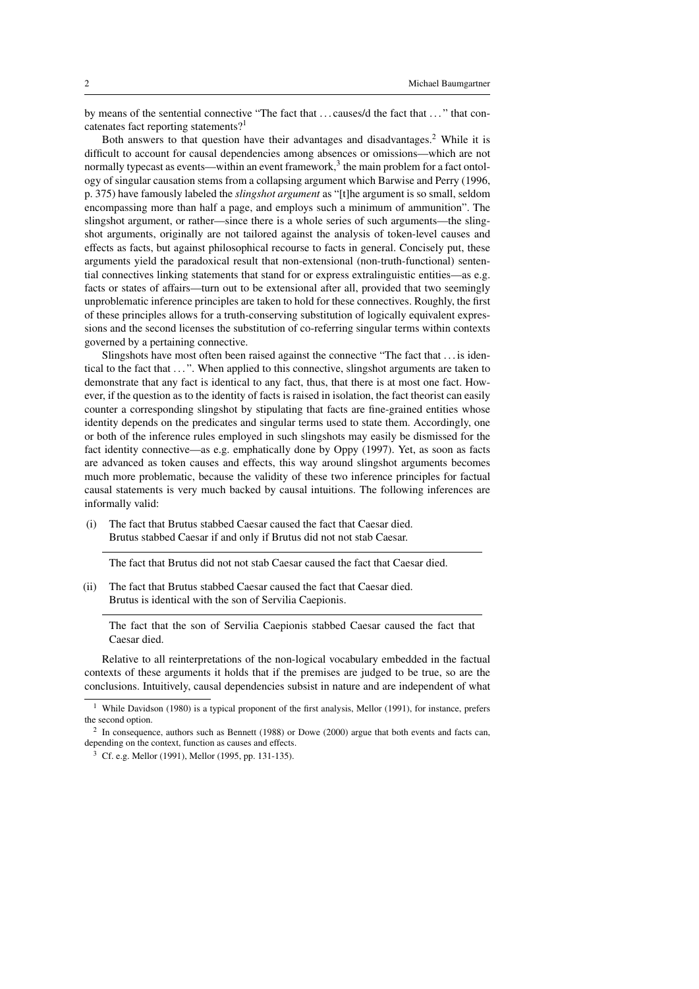by means of the sentential connective "The fact that ... causes/d the fact that ..." that concatenates fact reporting statements?<sup>1</sup>

Both answers to that question have their advantages and disadvantages.<sup>2</sup> While it is difficult to account for causal dependencies among absences or omissions—which are not normally typecast as events—within an event framework, $3$  the main problem for a fact ontology of singular causation stems from a collapsing argument which Barwise and Perry (1996, p. 375) have famously labeled the *slingshot argument* as "[t]he argument is so small, seldom encompassing more than half a page, and employs such a minimum of ammunition". The slingshot argument, or rather—since there is a whole series of such arguments—the slingshot arguments, originally are not tailored against the analysis of token-level causes and effects as facts, but against philosophical recourse to facts in general. Concisely put, these arguments yield the paradoxical result that non-extensional (non-truth-functional) sentential connectives linking statements that stand for or express extralinguistic entities—as e.g. facts or states of affairs—turn out to be extensional after all, provided that two seemingly unproblematic inference principles are taken to hold for these connectives. Roughly, the first of these principles allows for a truth-conserving substitution of logically equivalent expressions and the second licenses the substitution of co-referring singular terms within contexts governed by a pertaining connective.

Slingshots have most often been raised against the connective "The fact that . . . is identical to the fact that . . . ". When applied to this connective, slingshot arguments are taken to demonstrate that any fact is identical to any fact, thus, that there is at most one fact. However, if the question as to the identity of facts is raised in isolation, the fact theorist can easily counter a corresponding slingshot by stipulating that facts are fine-grained entities whose identity depends on the predicates and singular terms used to state them. Accordingly, one or both of the inference rules employed in such slingshots may easily be dismissed for the fact identity connective—as e.g. emphatically done by Oppy (1997). Yet, as soon as facts are advanced as token causes and effects, this way around slingshot arguments becomes much more problematic, because the validity of these two inference principles for factual causal statements is very much backed by causal intuitions. The following inferences are informally valid:

(i) The fact that Brutus stabbed Caesar caused the fact that Caesar died. Brutus stabbed Caesar if and only if Brutus did not not stab Caesar.

The fact that Brutus did not not stab Caesar caused the fact that Caesar died.

(ii) The fact that Brutus stabbed Caesar caused the fact that Caesar died. Brutus is identical with the son of Servilia Caepionis.

The fact that the son of Servilia Caepionis stabbed Caesar caused the fact that Caesar died.

Relative to all reinterpretations of the non-logical vocabulary embedded in the factual contexts of these arguments it holds that if the premises are judged to be true, so are the conclusions. Intuitively, causal dependencies subsist in nature and are independent of what

<sup>&</sup>lt;sup>1</sup> While Davidson (1980) is a typical proponent of the first analysis, Mellor (1991), for instance, prefers the second option.

<sup>2</sup> In consequence, authors such as Bennett (1988) or Dowe (2000) argue that both events and facts can, depending on the context, function as causes and effects.

<sup>3</sup> Cf. e.g. Mellor (1991), Mellor (1995, pp. 131-135).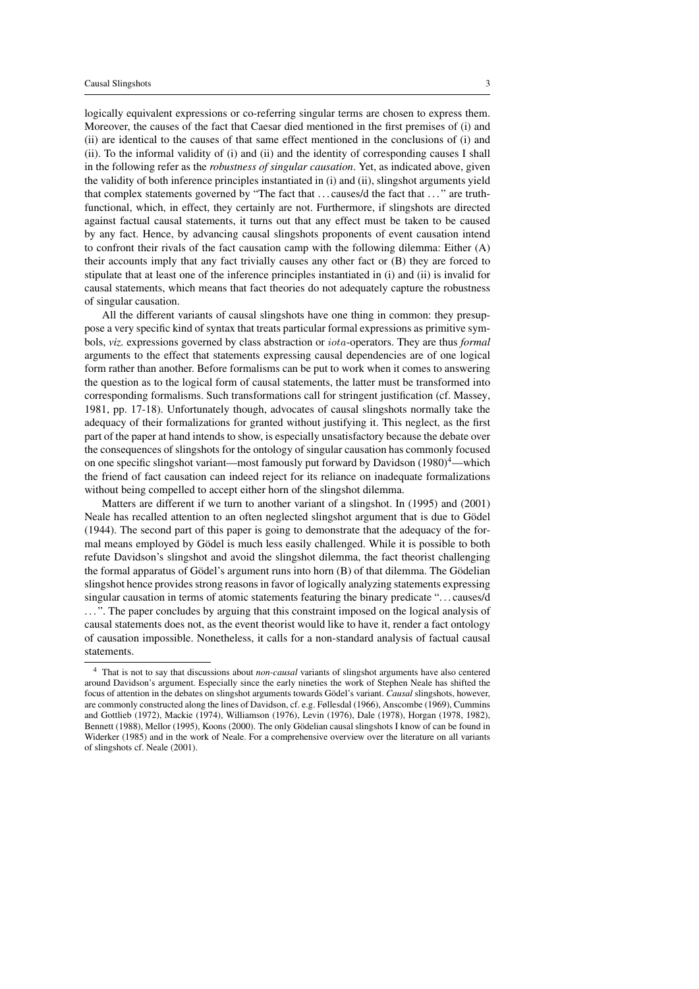logically equivalent expressions or co-referring singular terms are chosen to express them. Moreover, the causes of the fact that Caesar died mentioned in the first premises of (i) and (ii) are identical to the causes of that same effect mentioned in the conclusions of (i) and (ii). To the informal validity of (i) and (ii) and the identity of corresponding causes I shall in the following refer as the *robustness of singular causation*. Yet, as indicated above, given the validity of both inference principles instantiated in (i) and (ii), slingshot arguments yield that complex statements governed by "The fact that . . . causes/d the fact that . . . " are truthfunctional, which, in effect, they certainly are not. Furthermore, if slingshots are directed against factual causal statements, it turns out that any effect must be taken to be caused by any fact. Hence, by advancing causal slingshots proponents of event causation intend to confront their rivals of the fact causation camp with the following dilemma: Either (A) their accounts imply that any fact trivially causes any other fact or (B) they are forced to stipulate that at least one of the inference principles instantiated in (i) and (ii) is invalid for causal statements, which means that fact theories do not adequately capture the robustness of singular causation.

All the different variants of causal slingshots have one thing in common: they presuppose a very specific kind of syntax that treats particular formal expressions as primitive symbols, *viz.* expressions governed by class abstraction or iota-operators. They are thus *formal* arguments to the effect that statements expressing causal dependencies are of one logical form rather than another. Before formalisms can be put to work when it comes to answering the question as to the logical form of causal statements, the latter must be transformed into corresponding formalisms. Such transformations call for stringent justification (cf. Massey, 1981, pp. 17-18). Unfortunately though, advocates of causal slingshots normally take the adequacy of their formalizations for granted without justifying it. This neglect, as the first part of the paper at hand intends to show, is especially unsatisfactory because the debate over the consequences of slingshots for the ontology of singular causation has commonly focused on one specific slingshot variant—most famously put forward by Davidson  $(1980)^4$ —which the friend of fact causation can indeed reject for its reliance on inadequate formalizations without being compelled to accept either horn of the slingshot dilemma.

Matters are different if we turn to another variant of a slingshot. In (1995) and (2001) Neale has recalled attention to an often neglected slingshot argument that is due to Gödel (1944). The second part of this paper is going to demonstrate that the adequacy of the formal means employed by Gödel is much less easily challenged. While it is possible to both refute Davidson's slingshot and avoid the slingshot dilemma, the fact theorist challenging the formal apparatus of Gödel's argument runs into horn  $(B)$  of that dilemma. The Gödelian slingshot hence provides strong reasons in favor of logically analyzing statements expressing singular causation in terms of atomic statements featuring the binary predicate ". . . causes/d ...". The paper concludes by arguing that this constraint imposed on the logical analysis of causal statements does not, as the event theorist would like to have it, render a fact ontology of causation impossible. Nonetheless, it calls for a non-standard analysis of factual causal statements.

<sup>4</sup> That is not to say that discussions about *non-causal* variants of slingshot arguments have also centered around Davidson's argument. Especially since the early nineties the work of Stephen Neale has shifted the focus of attention in the debates on slingshot arguments towards Gödel's variant. *Causal* slingshots, however, are commonly constructed along the lines of Davidson, cf. e.g. Føllesdal (1966), Anscombe (1969), Cummins and Gottlieb (1972), Mackie (1974), Williamson (1976), Levin (1976), Dale (1978), Horgan (1978, 1982), Bennett (1988), Mellor (1995), Koons (2000). The only Gödelian causal slingshots I know of can be found in Widerker (1985) and in the work of Neale. For a comprehensive overview over the literature on all variants of slingshots cf. Neale (2001).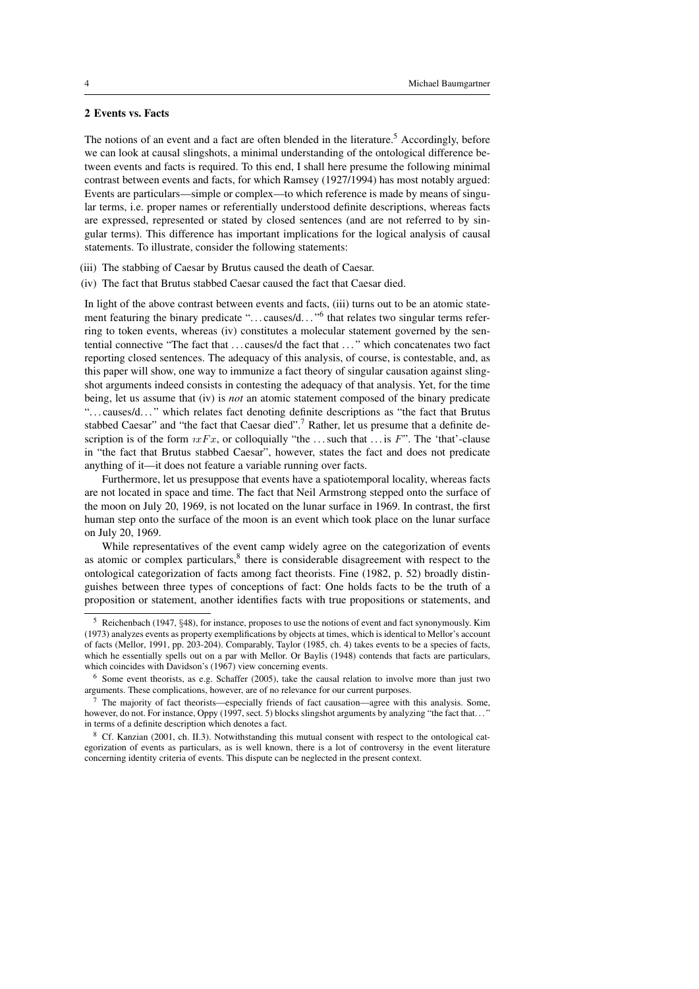#### 2 Events vs. Facts

The notions of an event and a fact are often blended in the literature.<sup>5</sup> Accordingly, before we can look at causal slingshots, a minimal understanding of the ontological difference between events and facts is required. To this end, I shall here presume the following minimal contrast between events and facts, for which Ramsey (1927/1994) has most notably argued: Events are particulars—simple or complex—to which reference is made by means of singular terms, i.e. proper names or referentially understood definite descriptions, whereas facts are expressed, represented or stated by closed sentences (and are not referred to by singular terms). This difference has important implications for the logical analysis of causal statements. To illustrate, consider the following statements:

- (iii) The stabbing of Caesar by Brutus caused the death of Caesar.
- (iv) The fact that Brutus stabbed Caesar caused the fact that Caesar died.

In light of the above contrast between events and facts, (iii) turns out to be an atomic statement featuring the binary predicate "... causes/d..."<sup>6</sup> that relates two singular terms referring to token events, whereas (iv) constitutes a molecular statement governed by the sentential connective "The fact that . . . causes/d the fact that . . . " which concatenates two fact reporting closed sentences. The adequacy of this analysis, of course, is contestable, and, as this paper will show, one way to immunize a fact theory of singular causation against slingshot arguments indeed consists in contesting the adequacy of that analysis. Yet, for the time being, let us assume that (iv) is *not* an atomic statement composed of the binary predicate "... causes/d..." which relates fact denoting definite descriptions as "the fact that Brutus" stabbed Caesar" and "the fact that Caesar died".<sup>7</sup> Rather, let us presume that a definite description is of the form  $\iota xFx$ , or colloquially "the ... such that ... is F". The 'that'-clause in "the fact that Brutus stabbed Caesar", however, states the fact and does not predicate anything of it—it does not feature a variable running over facts.

Furthermore, let us presuppose that events have a spatiotemporal locality, whereas facts are not located in space and time. The fact that Neil Armstrong stepped onto the surface of the moon on July 20, 1969, is not located on the lunar surface in 1969. In contrast, the first human step onto the surface of the moon is an event which took place on the lunar surface on July 20, 1969.

While representatives of the event camp widely agree on the categorization of events as atomic or complex particulars,<sup>8</sup> there is considerable disagreement with respect to the ontological categorization of facts among fact theorists. Fine (1982, p. 52) broadly distinguishes between three types of conceptions of fact: One holds facts to be the truth of a proposition or statement, another identifies facts with true propositions or statements, and

<sup>5</sup> Reichenbach (1947, §48), for instance, proposes to use the notions of event and fact synonymously. Kim (1973) analyzes events as property exemplifications by objects at times, which is identical to Mellor's account of facts (Mellor, 1991, pp. 203-204). Comparably, Taylor (1985, ch. 4) takes events to be a species of facts, which he essentially spells out on a par with Mellor. Or Baylis (1948) contends that facts are particulars, which coincides with Davidson's (1967) view concerning events.

 $<sup>6</sup>$  Some event theorists, as e.g. Schaffer (2005), take the causal relation to involve more than just two</sup> arguments. These complications, however, are of no relevance for our current purposes.

<sup>7</sup> The majority of fact theorists—especially friends of fact causation—agree with this analysis. Some, however, do not. For instance, Oppy (1997, sect. 5) blocks slingshot arguments by analyzing "the fact that..." in terms of a definite description which denotes a fact.

<sup>8</sup> Cf. Kanzian (2001, ch. II.3). Notwithstanding this mutual consent with respect to the ontological categorization of events as particulars, as is well known, there is a lot of controversy in the event literature concerning identity criteria of events. This dispute can be neglected in the present context.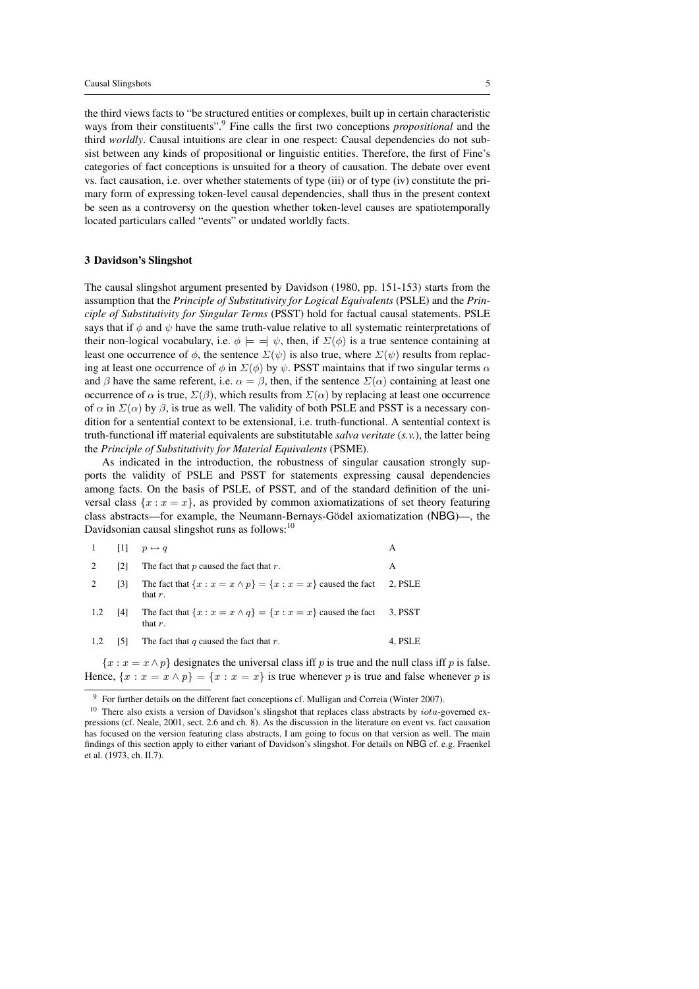the third views facts to "be structured entities or complexes, built up in certain characteristic ways from their constituents".<sup>9</sup> Fine calls the first two conceptions *propositional* and the third *worldly*. Causal intuitions are clear in one respect: Causal dependencies do not subsist between any kinds of propositional or linguistic entities. Therefore, the first of Fine's categories of fact conceptions is unsuited for a theory of causation. The debate over event vs. fact causation, i.e. over whether statements of type (iii) or of type (iv) constitute the primary form of expressing token-level causal dependencies, shall thus in the present context be seen as a controversy on the question whether token-level causes are spatiotemporally located particulars called "events" or undated worldly facts.

#### 3 Davidson's Slingshot

The causal slingshot argument presented by Davidson (1980, pp. 151-153) starts from the assumption that the *Principle of Substitutivity for Logical Equivalents* (PSLE) and the *Principle of Substitutivity for Singular Terms* (PSST) hold for factual causal statements. PSLE says that if  $\phi$  and  $\psi$  have the same truth-value relative to all systematic reinterpretations of their non-logical vocabulary, i.e.  $\phi \models \exists \psi$ , then, if  $\Sigma(\phi)$  is a true sentence containing at least one occurrence of  $\phi$ , the sentence  $\Sigma(\psi)$  is also true, where  $\Sigma(\psi)$  results from replacing at least one occurrence of  $\phi$  in  $\Sigma(\phi)$  by  $\psi$ . PSST maintains that if two singular terms  $\alpha$ and  $\beta$  have the same referent, i.e.  $\alpha = \beta$ , then, if the sentence  $\Sigma(\alpha)$  containing at least one occurrence of  $\alpha$  is true,  $\Sigma(\beta)$ , which results from  $\Sigma(\alpha)$  by replacing at least one occurrence of  $\alpha$  in  $\Sigma(\alpha)$  by  $\beta$ , is true as well. The validity of both PSLE and PSST is a necessary condition for a sentential context to be extensional, i.e. truth-functional. A sentential context is truth-functional iff material equivalents are substitutable *salva veritate* (*s.v.*), the latter being the *Principle of Substitutivity for Material Equivalents* (PSME).

As indicated in the introduction, the robustness of singular causation strongly supports the validity of PSLE and PSST for statements expressing causal dependencies among facts. On the basis of PSLE, of PSST, and of the standard definition of the universal class  $\{x : x = x\}$ , as provided by common axiomatizations of set theory featuring class abstracts—for example, the Neumann-Bernays-Gödel axiomatization (NBG)—, the Davidsonian causal slingshot runs as follows:<sup>10</sup>

| -1  | - 11 | $p \leftrightarrow q$                                                                |         |
|-----|------|--------------------------------------------------------------------------------------|---------|
| 2   | [2]  | The fact that $p$ caused the fact that $r$ .                                         | А       |
| 2   | [3]  | The fact that $\{x : x = x \wedge p\} = \{x : x = x\}$ caused the fact<br>that $r$ . | 2, PSLE |
| 1,2 | [4]  | The fact that $\{x : x = x \wedge q\} = \{x : x = x\}$ caused the fact<br>that $r$ . | 3. PSST |
| 1,2 | 5    | The fact that $q$ caused the fact that $r$ .                                         | 4, PSLE |

 ${x : x = x \land p}$  designates the universal class iff p is true and the null class iff p is false. Hence,  $\{x : x = x \wedge p\} = \{x : x = x\}$  is true whenever p is true and false whenever p is

<sup>&</sup>lt;sup>9</sup> For further details on the different fact conceptions cf. Mulligan and Correia (Winter 2007).

 $10$  There also exists a version of Davidson's slingshot that replaces class abstracts by  $iota$ -governed expressions (cf. Neale, 2001, sect. 2.6 and ch. 8). As the discussion in the literature on event vs. fact causation has focused on the version featuring class abstracts, I am going to focus on that version as well. The main findings of this section apply to either variant of Davidson's slingshot. For details on NBG cf. e.g. Fraenkel et al. (1973, ch. II.7).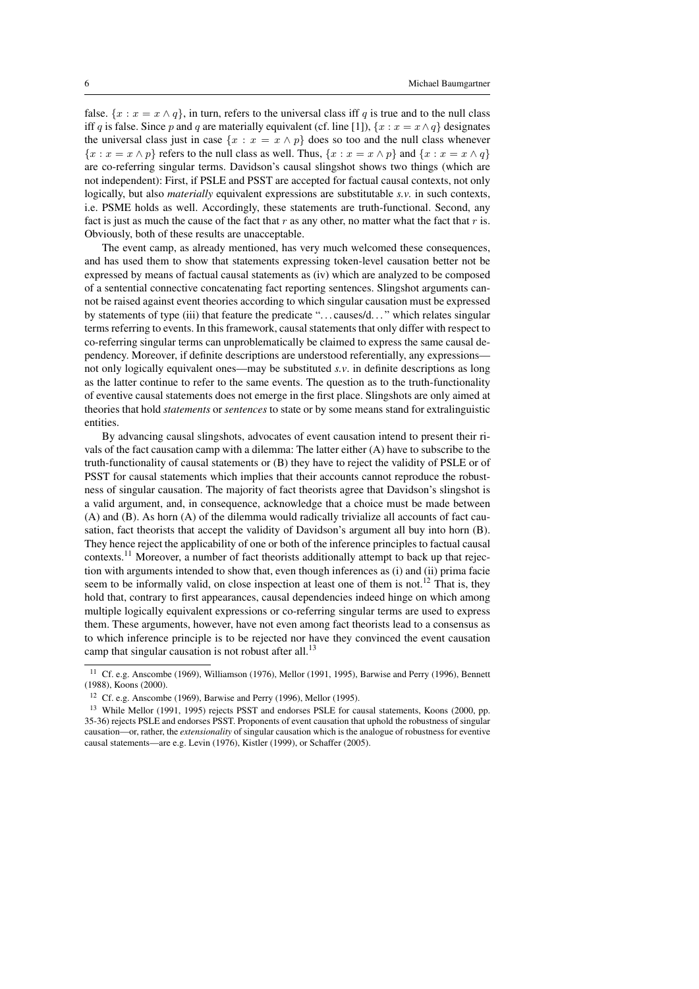false.  $\{x : x = x \wedge q\}$ , in turn, refers to the universal class iff q is true and to the null class iff q is false. Since p and q are materially equivalent (cf. line [1]),  $\{x : x = x \wedge q\}$  designates the universal class just in case  $\{x : x = x \wedge p\}$  does so too and the null class whenever  ${x : x = x \land p}$  refers to the null class as well. Thus,  ${x : x = x \land p}$  and  ${x : x = x \land q}$ are co-referring singular terms. Davidson's causal slingshot shows two things (which are not independent): First, if PSLE and PSST are accepted for factual causal contexts, not only logically, but also *materially* equivalent expressions are substitutable *s.v.* in such contexts, i.e. PSME holds as well. Accordingly, these statements are truth-functional. Second, any fact is just as much the cause of the fact that  $r$  as any other, no matter what the fact that  $r$  is. Obviously, both of these results are unacceptable.

The event camp, as already mentioned, has very much welcomed these consequences, and has used them to show that statements expressing token-level causation better not be expressed by means of factual causal statements as (iv) which are analyzed to be composed of a sentential connective concatenating fact reporting sentences. Slingshot arguments cannot be raised against event theories according to which singular causation must be expressed by statements of type (iii) that feature the predicate ". . . causes/d. . . " which relates singular terms referring to events. In this framework, causal statements that only differ with respect to co-referring singular terms can unproblematically be claimed to express the same causal dependency. Moreover, if definite descriptions are understood referentially, any expressions not only logically equivalent ones—may be substituted *s.v*. in definite descriptions as long as the latter continue to refer to the same events. The question as to the truth-functionality of eventive causal statements does not emerge in the first place. Slingshots are only aimed at theories that hold *statements* or *sentences* to state or by some means stand for extralinguistic entities.

By advancing causal slingshots, advocates of event causation intend to present their rivals of the fact causation camp with a dilemma: The latter either (A) have to subscribe to the truth-functionality of causal statements or (B) they have to reject the validity of PSLE or of PSST for causal statements which implies that their accounts cannot reproduce the robustness of singular causation. The majority of fact theorists agree that Davidson's slingshot is a valid argument, and, in consequence, acknowledge that a choice must be made between (A) and (B). As horn (A) of the dilemma would radically trivialize all accounts of fact causation, fact theorists that accept the validity of Davidson's argument all buy into horn (B). They hence reject the applicability of one or both of the inference principles to factual causal contexts.<sup>11</sup> Moreover, a number of fact theorists additionally attempt to back up that rejection with arguments intended to show that, even though inferences as (i) and (ii) prima facie seem to be informally valid, on close inspection at least one of them is not.<sup>12</sup> That is, they hold that, contrary to first appearances, causal dependencies indeed hinge on which among multiple logically equivalent expressions or co-referring singular terms are used to express them. These arguments, however, have not even among fact theorists lead to a consensus as to which inference principle is to be rejected nor have they convinced the event causation camp that singular causation is not robust after all.<sup>13</sup>

<sup>&</sup>lt;sup>11</sup> Cf. e.g. Anscombe (1969), Williamson (1976), Mellor (1991, 1995), Barwise and Perry (1996), Bennett (1988), Koons (2000).

<sup>12</sup> Cf. e.g. Anscombe (1969), Barwise and Perry (1996), Mellor (1995).

<sup>&</sup>lt;sup>13</sup> While Mellor (1991, 1995) rejects PSST and endorses PSLE for causal statements, Koons (2000, pp. 35-36) rejects PSLE and endorses PSST. Proponents of event causation that uphold the robustness of singular causation—or, rather, the *extensionality* of singular causation which is the analogue of robustness for eventive causal statements—are e.g. Levin (1976), Kistler (1999), or Schaffer (2005).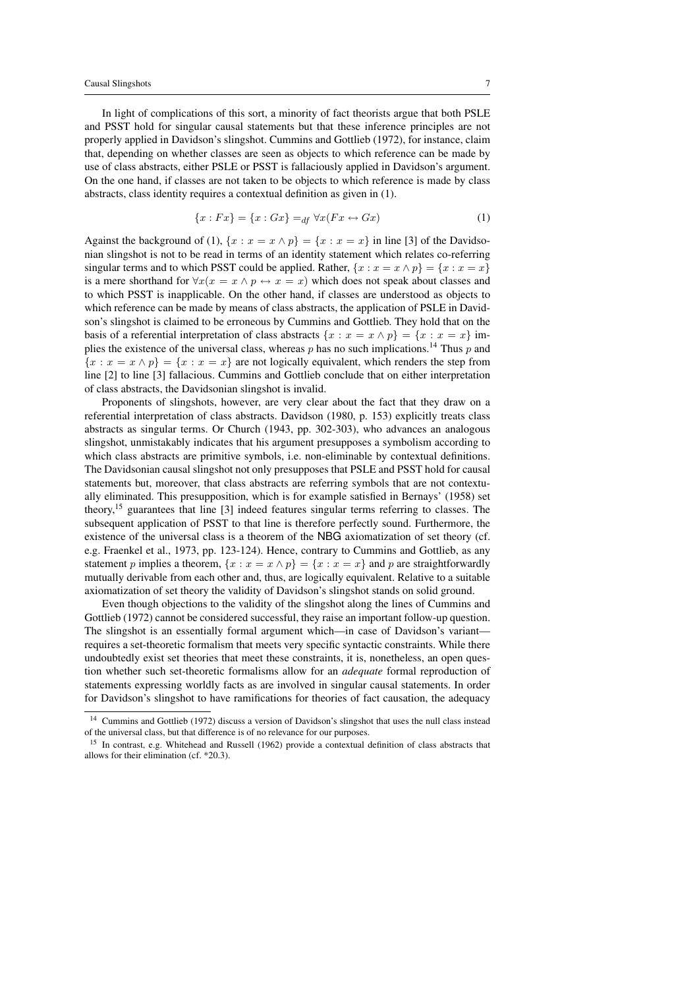In light of complications of this sort, a minority of fact theorists argue that both PSLE and PSST hold for singular causal statements but that these inference principles are not properly applied in Davidson's slingshot. Cummins and Gottlieb (1972), for instance, claim that, depending on whether classes are seen as objects to which reference can be made by use of class abstracts, either PSLE or PSST is fallaciously applied in Davidson's argument. On the one hand, if classes are not taken to be objects to which reference is made by class abstracts, class identity requires a contextual definition as given in (1).

$$
\{x : Fx\} = \{x : Gx\} =_{df} \forall x (Fx \leftrightarrow Gx)
$$
 (1)

Against the background of (1),  $\{x : x = x \wedge p\} = \{x : x = x\}$  in line [3] of the Davidsonian slingshot is not to be read in terms of an identity statement which relates co-referring singular terms and to which PSST could be applied. Rather,  $\{x : x = x \land p\} = \{x : x = x\}$ is a mere shorthand for  $\forall x(x = x \land p \leftrightarrow x = x)$  which does not speak about classes and to which PSST is inapplicable. On the other hand, if classes are understood as objects to which reference can be made by means of class abstracts, the application of PSLE in Davidson's slingshot is claimed to be erroneous by Cummins and Gottlieb. They hold that on the basis of a referential interpretation of class abstracts  $\{x : x = x \wedge p\} = \{x : x = x\}$  implies the existence of the universal class, whereas p has no such implications.<sup>14</sup> Thus p and  ${x : x = x \land p} = {x : x = x}$  are not logically equivalent, which renders the step from line [2] to line [3] fallacious. Cummins and Gottlieb conclude that on either interpretation of class abstracts, the Davidsonian slingshot is invalid.

Proponents of slingshots, however, are very clear about the fact that they draw on a referential interpretation of class abstracts. Davidson (1980, p. 153) explicitly treats class abstracts as singular terms. Or Church (1943, pp. 302-303), who advances an analogous slingshot, unmistakably indicates that his argument presupposes a symbolism according to which class abstracts are primitive symbols, i.e. non-eliminable by contextual definitions. The Davidsonian causal slingshot not only presupposes that PSLE and PSST hold for causal statements but, moreover, that class abstracts are referring symbols that are not contextually eliminated. This presupposition, which is for example satisfied in Bernays' (1958) set theory,<sup>15</sup> guarantees that line [3] indeed features singular terms referring to classes. The subsequent application of PSST to that line is therefore perfectly sound. Furthermore, the existence of the universal class is a theorem of the NBG axiomatization of set theory (cf. e.g. Fraenkel et al., 1973, pp. 123-124). Hence, contrary to Cummins and Gottlieb, as any statement p implies a theorem,  $\{x : x = x \land p\} = \{x : x = x\}$  and p are straightforwardly mutually derivable from each other and, thus, are logically equivalent. Relative to a suitable axiomatization of set theory the validity of Davidson's slingshot stands on solid ground.

Even though objections to the validity of the slingshot along the lines of Cummins and Gottlieb (1972) cannot be considered successful, they raise an important follow-up question. The slingshot is an essentially formal argument which—in case of Davidson's variant requires a set-theoretic formalism that meets very specific syntactic constraints. While there undoubtedly exist set theories that meet these constraints, it is, nonetheless, an open question whether such set-theoretic formalisms allow for an *adequate* formal reproduction of statements expressing worldly facts as are involved in singular causal statements. In order for Davidson's slingshot to have ramifications for theories of fact causation, the adequacy

<sup>&</sup>lt;sup>14</sup> Cummins and Gottlieb (1972) discuss a version of Davidson's slingshot that uses the null class instead of the universal class, but that difference is of no relevance for our purposes.

<sup>&</sup>lt;sup>15</sup> In contrast, e.g. Whitehead and Russell (1962) provide a contextual definition of class abstracts that allows for their elimination (cf. \*20.3).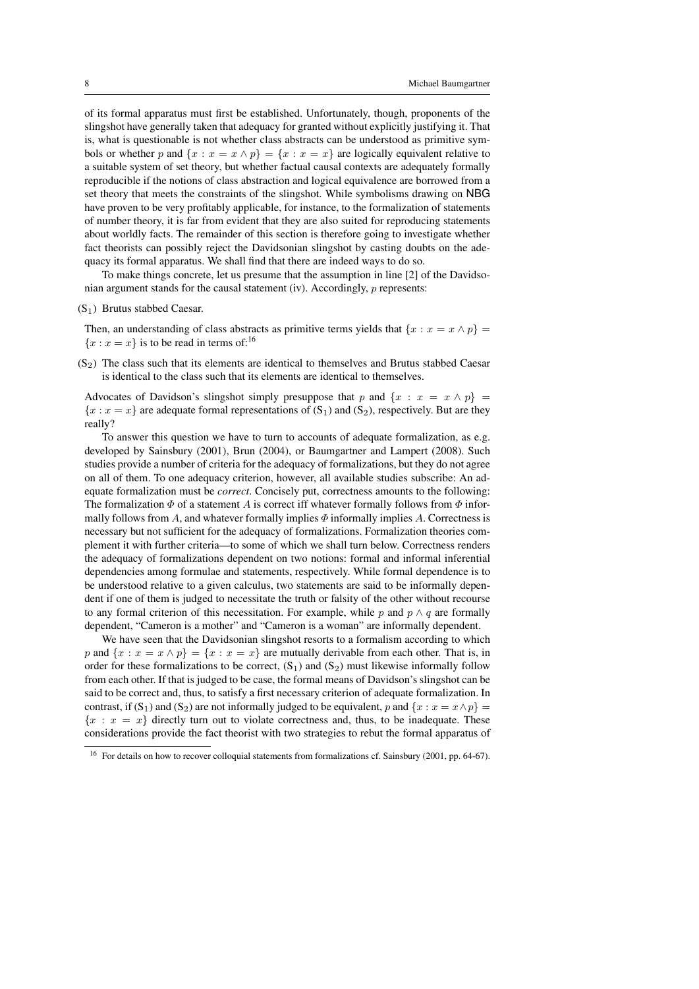of its formal apparatus must first be established. Unfortunately, though, proponents of the slingshot have generally taken that adequacy for granted without explicitly justifying it. That is, what is questionable is not whether class abstracts can be understood as primitive symbols or whether p and  $\{x : x = x \land p\} = \{x : x = x\}$  are logically equivalent relative to a suitable system of set theory, but whether factual causal contexts are adequately formally reproducible if the notions of class abstraction and logical equivalence are borrowed from a set theory that meets the constraints of the slingshot. While symbolisms drawing on NBG have proven to be very profitably applicable, for instance, to the formalization of statements of number theory, it is far from evident that they are also suited for reproducing statements about worldly facts. The remainder of this section is therefore going to investigate whether fact theorists can possibly reject the Davidsonian slingshot by casting doubts on the adequacy its formal apparatus. We shall find that there are indeed ways to do so.

To make things concrete, let us presume that the assumption in line [2] of the Davidsonian argument stands for the causal statement (iv). Accordingly, p represents:

 $(S_1)$  Brutus stabbed Caesar.

Then, an understanding of class abstracts as primitive terms yields that  $\{x : x = x \land p\}$  ${x : x = x}$  is to be read in terms of:<sup>16</sup>

 $(S<sub>2</sub>)$  The class such that its elements are identical to themselves and Brutus stabbed Caesar is identical to the class such that its elements are identical to themselves.

Advocates of Davidson's slingshot simply presuppose that p and  $\{x : x = x \land p\}$  ${x : x = x}$  are adequate formal representations of  $(S_1)$  and  $(S_2)$ , respectively. But are they really?

To answer this question we have to turn to accounts of adequate formalization, as e.g. developed by Sainsbury (2001), Brun (2004), or Baumgartner and Lampert (2008). Such studies provide a number of criteria for the adequacy of formalizations, but they do not agree on all of them. To one adequacy criterion, however, all available studies subscribe: An adequate formalization must be *correct*. Concisely put, correctness amounts to the following: The formalization  $\Phi$  of a statement A is correct iff whatever formally follows from  $\Phi$  informally follows from A, and whatever formally implies  $\Phi$  informally implies A. Correctness is necessary but not sufficient for the adequacy of formalizations. Formalization theories complement it with further criteria—to some of which we shall turn below. Correctness renders the adequacy of formalizations dependent on two notions: formal and informal inferential dependencies among formulae and statements, respectively. While formal dependence is to be understood relative to a given calculus, two statements are said to be informally dependent if one of them is judged to necessitate the truth or falsity of the other without recourse to any formal criterion of this necessitation. For example, while p and  $p \wedge q$  are formally dependent, "Cameron is a mother" and "Cameron is a woman" are informally dependent.

We have seen that the Davidsonian slingshot resorts to a formalism according to which p and  $\{x : x = x \wedge p\} = \{x : x = x\}$  are mutually derivable from each other. That is, in order for these formalizations to be correct,  $(S_1)$  and  $(S_2)$  must likewise informally follow from each other. If that is judged to be case, the formal means of Davidson's slingshot can be said to be correct and, thus, to satisfy a first necessary criterion of adequate formalization. In contrast, if (S<sub>1</sub>) and (S<sub>2</sub>) are not informally judged to be equivalent, p and  $\{x : x = x \land p\}$  ${x : x = x}$  directly turn out to violate correctness and, thus, to be inadequate. These considerations provide the fact theorist with two strategies to rebut the formal apparatus of

<sup>&</sup>lt;sup>16</sup> For details on how to recover colloquial statements from formalizations cf. Sainsbury (2001, pp. 64-67).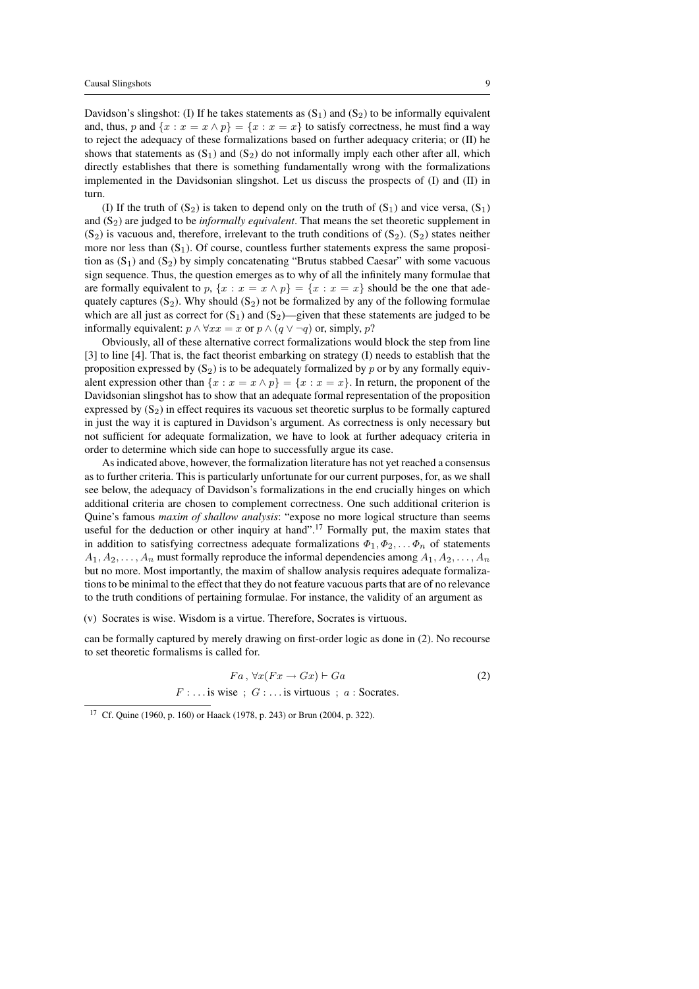Davidson's slingshot: (I) If he takes statements as  $(S_1)$  and  $(S_2)$  to be informally equivalent and, thus, p and  $\{x : x = x \wedge p\} = \{x : x = x\}$  to satisfy correctness, he must find a way to reject the adequacy of these formalizations based on further adequacy criteria; or (II) he shows that statements as  $(S_1)$  and  $(S_2)$  do not informally imply each other after all, which directly establishes that there is something fundamentally wrong with the formalizations implemented in the Davidsonian slingshot. Let us discuss the prospects of (I) and (II) in turn.

(I) If the truth of  $(S_2)$  is taken to depend only on the truth of  $(S_1)$  and vice versa,  $(S_1)$ and  $(S_2)$  are judged to be *informally equivalent*. That means the set theoretic supplement in  $(S_2)$  is vacuous and, therefore, irrelevant to the truth conditions of  $(S_2)$ .  $(S_2)$  states neither more nor less than  $(S_1)$ . Of course, countless further statements express the same proposition as  $(S_1)$  and  $(S_2)$  by simply concatenating "Brutus stabbed Caesar" with some vacuous sign sequence. Thus, the question emerges as to why of all the infinitely many formulae that are formally equivalent to p,  $\{x : x = x \land p\} = \{x : x = x\}$  should be the one that adequately captures  $(S_2)$ . Why should  $(S_2)$  not be formalized by any of the following formulae which are all just as correct for  $(S_1)$  and  $(S_2)$ —given that these statements are judged to be informally equivalent:  $p \wedge \forall xx = x$  or  $p \wedge (q \vee \neg q)$  or, simply, p?

Obviously, all of these alternative correct formalizations would block the step from line [3] to line [4]. That is, the fact theorist embarking on strategy (I) needs to establish that the proposition expressed by  $(S_2)$  is to be adequately formalized by p or by any formally equivalent expression other than  $\{x : x = x \land p\} = \{x : x = x\}$ . In return, the proponent of the Davidsonian slingshot has to show that an adequate formal representation of the proposition expressed by  $(S_2)$  in effect requires its vacuous set theoretic surplus to be formally captured in just the way it is captured in Davidson's argument. As correctness is only necessary but not sufficient for adequate formalization, we have to look at further adequacy criteria in order to determine which side can hope to successfully argue its case.

As indicated above, however, the formalization literature has not yet reached a consensus as to further criteria. This is particularly unfortunate for our current purposes, for, as we shall see below, the adequacy of Davidson's formalizations in the end crucially hinges on which additional criteria are chosen to complement correctness. One such additional criterion is Quine's famous *maxim of shallow analysis*: "expose no more logical structure than seems useful for the deduction or other inquiry at hand".<sup>17</sup> Formally put, the maxim states that in addition to satisfying correctness adequate formalizations  $\Phi_1, \Phi_2, \dots \Phi_n$  of statements  $A_1, A_2, \ldots, A_n$  must formally reproduce the informal dependencies among  $A_1, A_2, \ldots, A_n$ but no more. Most importantly, the maxim of shallow analysis requires adequate formalizations to be minimal to the effect that they do not feature vacuous parts that are of no relevance to the truth conditions of pertaining formulae. For instance, the validity of an argument as

(v) Socrates is wise. Wisdom is a virtue. Therefore, Socrates is virtuous.

can be formally captured by merely drawing on first-order logic as done in (2). No recourse to set theoretic formalisms is called for.

$$
Fa, \forall x (Fx \rightarrow Gx) \vdash Ga
$$
  

$$
F : \dots \text{is wise}; G : \dots \text{is virtuous}; a : Socrates.
$$
 (2)

<sup>17</sup> Cf. Quine (1960, p. 160) or Haack (1978, p. 243) or Brun (2004, p. 322).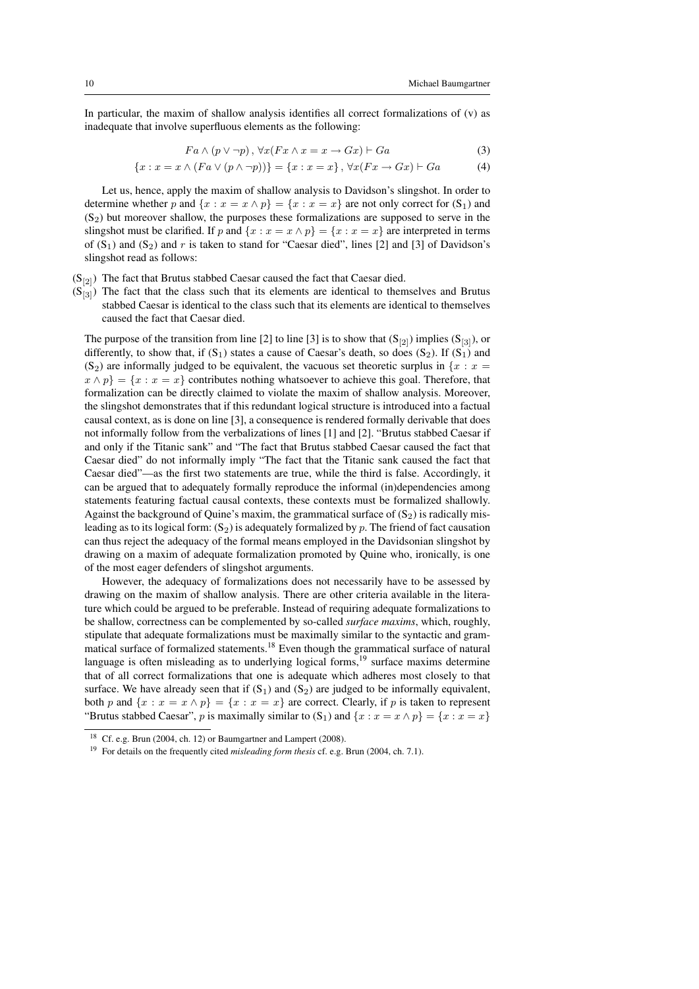In particular, the maxim of shallow analysis identifies all correct formalizations of (v) as inadequate that involve superfluous elements as the following:

$$
Fa \wedge (p \vee \neg p), \forall x (Fx \wedge x = x \rightarrow Gx) \vdash Ga \tag{3}
$$

$$
\{x : x = x \land (Fa \lor (p \land \neg p))\} = \{x : x = x\}, \forall x (Fx \rightarrow Gx) \vdash Ga \tag{4}
$$

Let us, hence, apply the maxim of shallow analysis to Davidson's slingshot. In order to determine whether p and  $\{x : x = x \land p\} = \{x : x = x\}$  are not only correct for  $(S_1)$  and  $(S<sub>2</sub>)$  but moreover shallow, the purposes these formalizations are supposed to serve in the slingshot must be clarified. If p and  $\{x : x = x \wedge p\} = \{x : x = x\}$  are interpreted in terms of  $(S_1)$  and  $(S_2)$  and r is taken to stand for "Caesar died", lines [2] and [3] of Davidson's slingshot read as follows:

- $(S_{[2]})$  The fact that Brutus stabbed Caesar caused the fact that Caesar died.
- $(S<sub>[3]</sub>)$  The fact that the class such that its elements are identical to themselves and Brutus stabbed Caesar is identical to the class such that its elements are identical to themselves caused the fact that Caesar died.

The purpose of the transition from line [2] to line [3] is to show that  $(S_{[2]})$  implies  $(S_{[3]})$ , or differently, to show that, if  $(S_1)$  states a cause of Caesar's death, so does  $(S_2)$ . If  $(S_1)$  and (S<sub>2</sub>) are informally judged to be equivalent, the vacuous set theoretic surplus in  $\{x : x =$  $x \wedge p$  = { $x : x = x$ } contributes nothing whatsoever to achieve this goal. Therefore, that formalization can be directly claimed to violate the maxim of shallow analysis. Moreover, the slingshot demonstrates that if this redundant logical structure is introduced into a factual causal context, as is done on line [3], a consequence is rendered formally derivable that does not informally follow from the verbalizations of lines [1] and [2]. "Brutus stabbed Caesar if and only if the Titanic sank" and "The fact that Brutus stabbed Caesar caused the fact that Caesar died" do not informally imply "The fact that the Titanic sank caused the fact that Caesar died"—as the first two statements are true, while the third is false. Accordingly, it can be argued that to adequately formally reproduce the informal (in)dependencies among statements featuring factual causal contexts, these contexts must be formalized shallowly. Against the background of Quine's maxim, the grammatical surface of  $(S_2)$  is radically misleading as to its logical form:  $(S_2)$  is adequately formalized by p. The friend of fact causation can thus reject the adequacy of the formal means employed in the Davidsonian slingshot by drawing on a maxim of adequate formalization promoted by Quine who, ironically, is one of the most eager defenders of slingshot arguments.

However, the adequacy of formalizations does not necessarily have to be assessed by drawing on the maxim of shallow analysis. There are other criteria available in the literature which could be argued to be preferable. Instead of requiring adequate formalizations to be shallow, correctness can be complemented by so-called *surface maxims*, which, roughly, stipulate that adequate formalizations must be maximally similar to the syntactic and grammatical surface of formalized statements.<sup>18</sup> Even though the grammatical surface of natural language is often misleading as to underlying logical forms, $19$  surface maxims determine that of all correct formalizations that one is adequate which adheres most closely to that surface. We have already seen that if  $(S_1)$  and  $(S_2)$  are judged to be informally equivalent, both p and  $\{x : x = x \wedge p\} = \{x : x = x\}$  are correct. Clearly, if p is taken to represent "Brutus stabbed Caesar", p is maximally similar to  $(S_1)$  and  $\{x : x = x \land p\} = \{x : x = x\}$ 

<sup>18</sup> Cf. e.g. Brun (2004, ch. 12) or Baumgartner and Lampert (2008).

<sup>19</sup> For details on the frequently cited *misleading form thesis* cf. e.g. Brun (2004, ch. 7.1).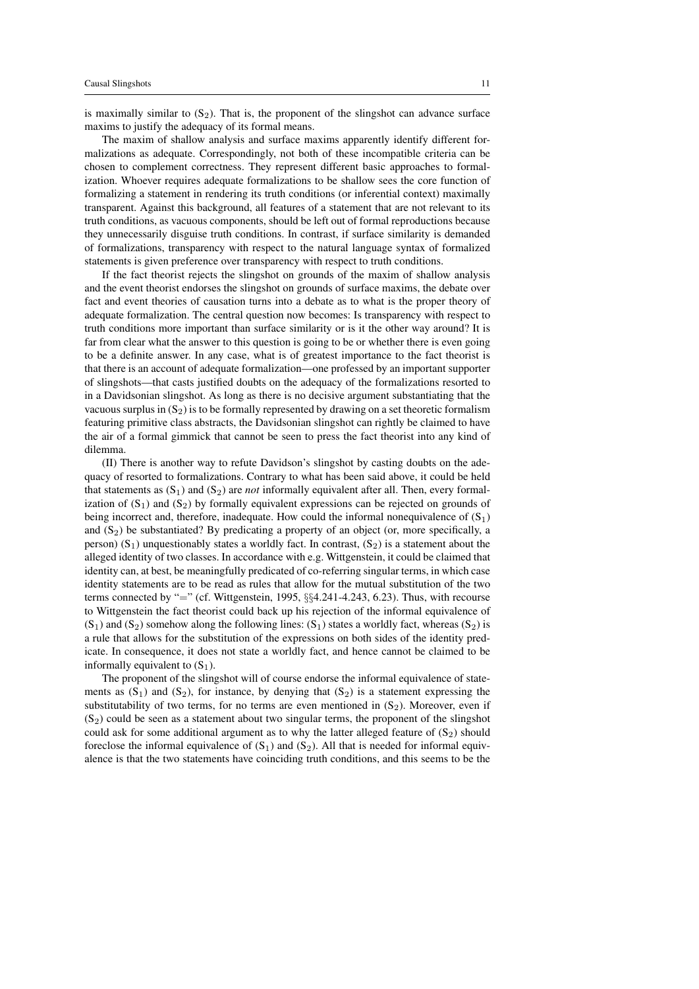is maximally similar to  $(S_2)$ . That is, the proponent of the slingshot can advance surface maxims to justify the adequacy of its formal means.

The maxim of shallow analysis and surface maxims apparently identify different formalizations as adequate. Correspondingly, not both of these incompatible criteria can be chosen to complement correctness. They represent different basic approaches to formalization. Whoever requires adequate formalizations to be shallow sees the core function of formalizing a statement in rendering its truth conditions (or inferential context) maximally transparent. Against this background, all features of a statement that are not relevant to its truth conditions, as vacuous components, should be left out of formal reproductions because they unnecessarily disguise truth conditions. In contrast, if surface similarity is demanded of formalizations, transparency with respect to the natural language syntax of formalized statements is given preference over transparency with respect to truth conditions.

If the fact theorist rejects the slingshot on grounds of the maxim of shallow analysis and the event theorist endorses the slingshot on grounds of surface maxims, the debate over fact and event theories of causation turns into a debate as to what is the proper theory of adequate formalization. The central question now becomes: Is transparency with respect to truth conditions more important than surface similarity or is it the other way around? It is far from clear what the answer to this question is going to be or whether there is even going to be a definite answer. In any case, what is of greatest importance to the fact theorist is that there is an account of adequate formalization—one professed by an important supporter of slingshots—that casts justified doubts on the adequacy of the formalizations resorted to in a Davidsonian slingshot. As long as there is no decisive argument substantiating that the vacuous surplus in  $(S_2)$  is to be formally represented by drawing on a set theoretic formalism featuring primitive class abstracts, the Davidsonian slingshot can rightly be claimed to have the air of a formal gimmick that cannot be seen to press the fact theorist into any kind of dilemma.

(II) There is another way to refute Davidson's slingshot by casting doubts on the adequacy of resorted to formalizations. Contrary to what has been said above, it could be held that statements as  $(S_1)$  and  $(S_2)$  are *not* informally equivalent after all. Then, every formalization of  $(S_1)$  and  $(S_2)$  by formally equivalent expressions can be rejected on grounds of being incorrect and, therefore, inadequate. How could the informal nonequivalence of  $(S_1)$ and  $(S_2)$  be substantiated? By predicating a property of an object (or, more specifically, a person)  $(S_1)$  unquestionably states a worldly fact. In contrast,  $(S_2)$  is a statement about the alleged identity of two classes. In accordance with e.g. Wittgenstein, it could be claimed that identity can, at best, be meaningfully predicated of co-referring singular terms, in which case identity statements are to be read as rules that allow for the mutual substitution of the two terms connected by "=" (cf. Wittgenstein, 1995, §§4.241-4.243, 6.23). Thus, with recourse to Wittgenstein the fact theorist could back up his rejection of the informal equivalence of  $(S_1)$  and  $(S_2)$  somehow along the following lines:  $(S_1)$  states a worldly fact, whereas  $(S_2)$  is a rule that allows for the substitution of the expressions on both sides of the identity predicate. In consequence, it does not state a worldly fact, and hence cannot be claimed to be informally equivalent to  $(S_1)$ .

The proponent of the slingshot will of course endorse the informal equivalence of statements as  $(S_1)$  and  $(S_2)$ , for instance, by denying that  $(S_2)$  is a statement expressing the substitutability of two terms, for no terms are even mentioned in  $(S_2)$ . Moreover, even if  $(S<sub>2</sub>)$  could be seen as a statement about two singular terms, the proponent of the slingshot could ask for some additional argument as to why the latter alleged feature of  $(S_2)$  should foreclose the informal equivalence of  $(S_1)$  and  $(S_2)$ . All that is needed for informal equivalence is that the two statements have coinciding truth conditions, and this seems to be the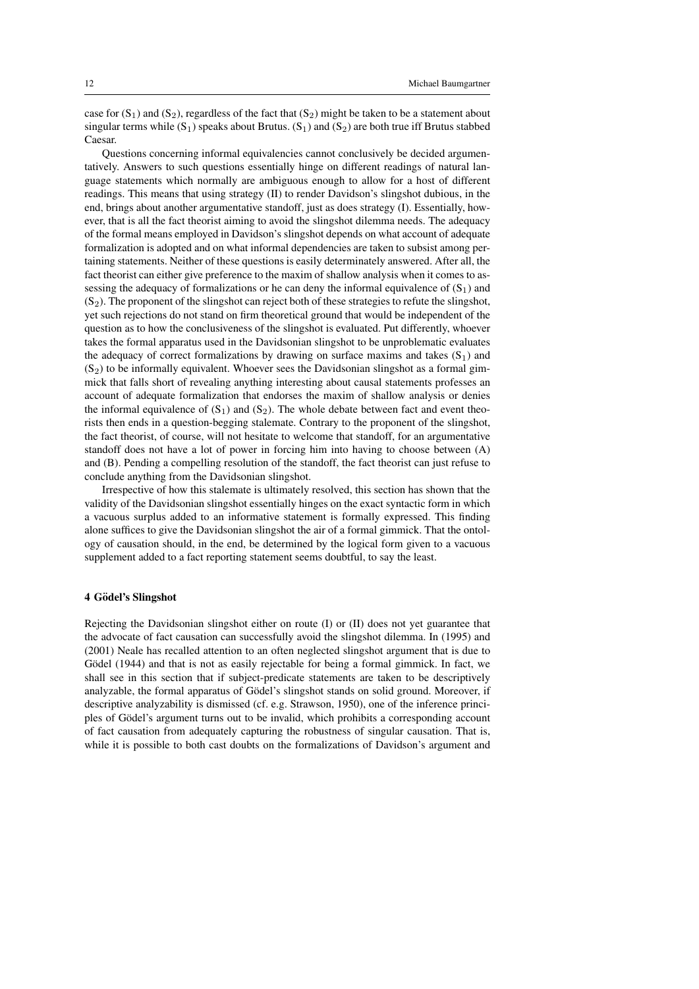case for  $(S_1)$  and  $(S_2)$ , regardless of the fact that  $(S_2)$  might be taken to be a statement about singular terms while  $(S_1)$  speaks about Brutus.  $(S_1)$  and  $(S_2)$  are both true iff Brutus stabbed Caesar.

Questions concerning informal equivalencies cannot conclusively be decided argumentatively. Answers to such questions essentially hinge on different readings of natural language statements which normally are ambiguous enough to allow for a host of different readings. This means that using strategy (II) to render Davidson's slingshot dubious, in the end, brings about another argumentative standoff, just as does strategy (I). Essentially, however, that is all the fact theorist aiming to avoid the slingshot dilemma needs. The adequacy of the formal means employed in Davidson's slingshot depends on what account of adequate formalization is adopted and on what informal dependencies are taken to subsist among pertaining statements. Neither of these questions is easily determinately answered. After all, the fact theorist can either give preference to the maxim of shallow analysis when it comes to assessing the adequacy of formalizations or he can deny the informal equivalence of  $(S_1)$  and  $(S_2)$ . The proponent of the slingshot can reject both of these strategies to refute the slingshot, yet such rejections do not stand on firm theoretical ground that would be independent of the question as to how the conclusiveness of the slingshot is evaluated. Put differently, whoever takes the formal apparatus used in the Davidsonian slingshot to be unproblematic evaluates the adequacy of correct formalizations by drawing on surface maxims and takes  $(S_1)$  and  $(S<sub>2</sub>)$  to be informally equivalent. Whoever sees the Davidsonian slingshot as a formal gimmick that falls short of revealing anything interesting about causal statements professes an account of adequate formalization that endorses the maxim of shallow analysis or denies the informal equivalence of  $(S_1)$  and  $(S_2)$ . The whole debate between fact and event theorists then ends in a question-begging stalemate. Contrary to the proponent of the slingshot, the fact theorist, of course, will not hesitate to welcome that standoff, for an argumentative standoff does not have a lot of power in forcing him into having to choose between (A) and (B). Pending a compelling resolution of the standoff, the fact theorist can just refuse to conclude anything from the Davidsonian slingshot.

Irrespective of how this stalemate is ultimately resolved, this section has shown that the validity of the Davidsonian slingshot essentially hinges on the exact syntactic form in which a vacuous surplus added to an informative statement is formally expressed. This finding alone suffices to give the Davidsonian slingshot the air of a formal gimmick. That the ontology of causation should, in the end, be determined by the logical form given to a vacuous supplement added to a fact reporting statement seems doubtful, to say the least.

#### 4 Gödel's Slingshot

Rejecting the Davidsonian slingshot either on route (I) or (II) does not yet guarantee that the advocate of fact causation can successfully avoid the slingshot dilemma. In (1995) and (2001) Neale has recalled attention to an often neglected slingshot argument that is due to Gödel (1944) and that is not as easily rejectable for being a formal gimmick. In fact, we shall see in this section that if subject-predicate statements are taken to be descriptively analyzable, the formal apparatus of Gödel's slingshot stands on solid ground. Moreover, if descriptive analyzability is dismissed (cf. e.g. Strawson, 1950), one of the inference principles of Gödel's argument turns out to be invalid, which prohibits a corresponding account of fact causation from adequately capturing the robustness of singular causation. That is, while it is possible to both cast doubts on the formalizations of Davidson's argument and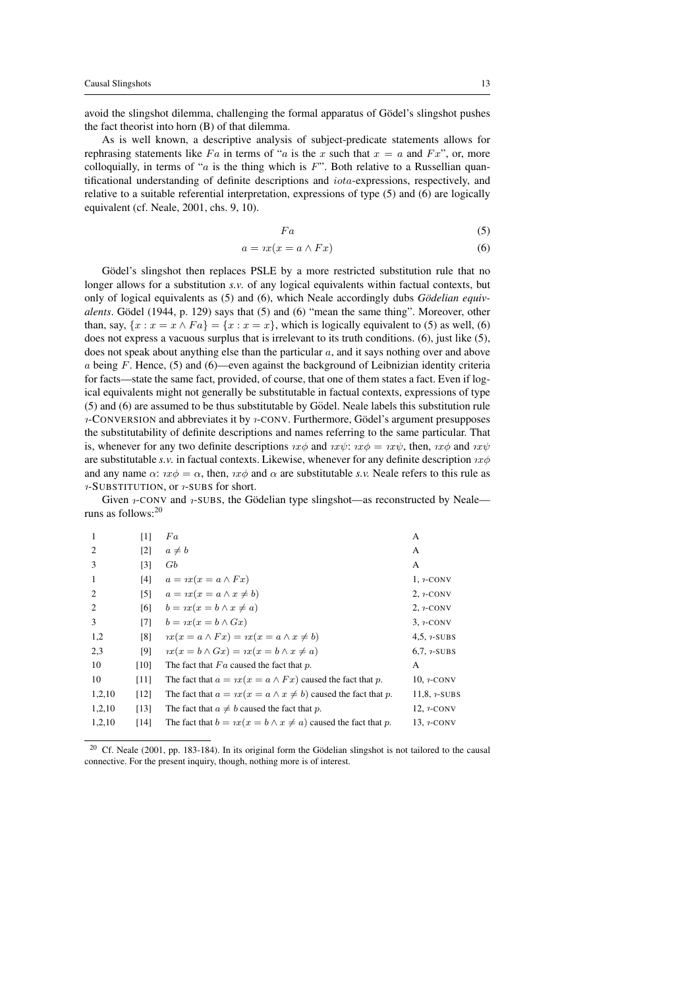avoid the slingshot dilemma, challenging the formal apparatus of Gödel's slingshot pushes the fact theorist into horn (B) of that dilemma.

As is well known, a descriptive analysis of subject-predicate statements allows for rephrasing statements like Fa in terms of "a is the x such that  $x = a$  and Fx", or, more colloquially, in terms of "a is the thing which is  $F$ ". Both relative to a Russellian quantificational understanding of definite descriptions and  $iota$ -expressions, respectively, and relative to a suitable referential interpretation, expressions of type (5) and (6) are logically equivalent (cf. Neale, 2001, chs. 9, 10).

$$
Fa \tag{5}
$$

$$
a = \iota x (x = a \wedge Fx) \tag{6}
$$

Gödel's slingshot then replaces PSLE by a more restricted substitution rule that no longer allows for a substitution *s.v.* of any logical equivalents within factual contexts, but only of logical equivalents as (5) and (6), which Neale accordingly dubs *Godelian equiv- ¨ alents*. Gödel (1944, p. 129) says that (5) and (6) "mean the same thing". Moreover, other than, say,  $\{x : x = x \wedge Fa\} = \{x : x = x\}$ , which is logically equivalent to (5) as well, (6) does not express a vacuous surplus that is irrelevant to its truth conditions. (6), just like (5), does not speak about anything else than the particular  $a$ , and it says nothing over and above  $a$  being F. Hence, (5) and (6)—even against the background of Leibnizian identity criteria for facts—state the same fact, provided, of course, that one of them states a fact. Even if logical equivalents might not generally be substitutable in factual contexts, expressions of type  $(5)$  and  $(6)$  are assumed to be thus substitutable by Gödel. Neale labels this substitution rule  $\alpha$ -CONVERSION and abbreviates it by  $\alpha$ -CONV. Furthermore, Gödel's argument presupposes the substitutability of definite descriptions and names referring to the same particular. That is, whenever for any two definite descriptions  $\alpha \phi$  and  $\alpha \psi$ :  $\alpha \phi = \alpha \psi$ , then,  $\alpha \phi$  and  $\alpha \psi$ are substitutable *s.v.* in factual contexts. Likewise, whenever for any definite description  $\alpha x \phi$ and any name  $\alpha$ :  $n\phi = \alpha$ , then,  $n\phi$  and  $\alpha$  are substitutable *s.v.* Neale refers to this rule as  $\gamma$ -SUBSTITUTION, or  $\gamma$ -SUBS for short.

Given *1*-CONV and *1*-SUBS, the Gödelian type slingshot—as reconstructed by Neale runs as follows:<sup>20</sup>

| 1              | [1]               | Fa                                                                          | А                        |
|----------------|-------------------|-----------------------------------------------------------------------------|--------------------------|
| $\overline{2}$ | $\lceil 2 \rceil$ | $a \neq b$                                                                  | A                        |
| 3              | [3]               | Gb                                                                          | A                        |
| -1             | [4]               | $a = \iota x(x = a \wedge Fx)$                                              | $1,7$ -CONV              |
| $\overline{c}$ | $\lceil 5 \rceil$ | $a = \iota x(x = a \land x \neq b)$                                         | $2, \gamma$ -CONV        |
| $\overline{2}$ | [6]               | $b = \iota x(x = b \land x \neq a)$                                         | $2, \gamma$ -CONV        |
| 3              | [7]               | $b = \iota x(x = b \wedge Gx)$                                              | $3, \gamma$ -CONV        |
| 1,2            | [8]               | $\eta x(x = a \wedge Fx) = \eta x(x = a \wedge x \neq b)$                   | 4,5, $\frac{1}{2}$ -SUBS |
| 2,3            | [9]               | $\eta x(x=b\wedge Gx)=\eta x(x=b\wedge x\neq a)$                            | $6.7.7$ -SUBS            |
| 10             | [10]              | The fact that $Fa$ caused the fact that $p$ .                               | A                        |
| 10             | [11]              | The fact that $a = \iota x(x = a \wedge Fx)$ caused the fact that p.        | $10, \gamma$ -CONV       |
| 1,2,10         | [12]              | The fact that $a = \alpha x(x = a \wedge x \neq b)$ caused the fact that p. | $11,8,7-SUBS$            |
| 1,2,10         | [13]              | The fact that $a \neq b$ caused the fact that p.                            | $12, \gamma$ -CONV       |
| 1,2,10         | [14]              | The fact that $b = \alpha x(x = b \land x \neq a)$ caused the fact that p.  | 13, <i>1</i> -CONV       |

 $20$  Cf. Neale (2001, pp. 183-184). In its original form the Gödelian slingshot is not tailored to the causal connective. For the present inquiry, though, nothing more is of interest.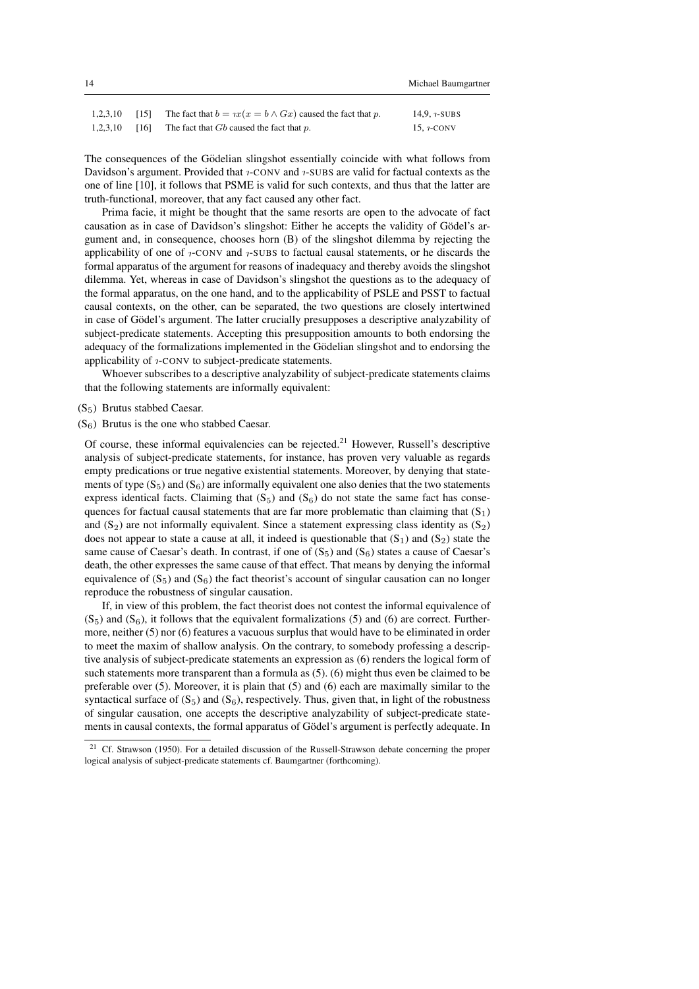| 1,2,3,10 | [15] | The fact that $b = \iota x(x = b \wedge Gx)$ caused the fact that p. | 14.9. $7-SUBS$ |
|----------|------|----------------------------------------------------------------------|----------------|
| 1,2,3,10 | [16] | The fact that $Gb$ caused the fact that $p$ .                        | 15. $i$ -CONV  |

The consequences of the Gödelian slingshot essentially coincide with what follows from Davidson's argument. Provided that *1*-CONV and *1*-SUBS are valid for factual contexts as the one of line [10], it follows that PSME is valid for such contexts, and thus that the latter are truth-functional, moreover, that any fact caused any other fact.

Prima facie, it might be thought that the same resorts are open to the advocate of fact causation as in case of Davidson's slingshot: Either he accepts the validity of Gödel's argument and, in consequence, chooses horn (B) of the slingshot dilemma by rejecting the applicability of one of  $\alpha$ -CONV and  $\alpha$ -SUBS to factual causal statements, or he discards the formal apparatus of the argument for reasons of inadequacy and thereby avoids the slingshot dilemma. Yet, whereas in case of Davidson's slingshot the questions as to the adequacy of the formal apparatus, on the one hand, and to the applicability of PSLE and PSST to factual causal contexts, on the other, can be separated, the two questions are closely intertwined in case of Gödel's argument. The latter crucially presupposes a descriptive analyzability of subject-predicate statements. Accepting this presupposition amounts to both endorsing the adequacy of the formalizations implemented in the Gödelian slingshot and to endorsing the applicability of *i*-CONV to subject-predicate statements.

Whoever subscribes to a descriptive analyzability of subject-predicate statements claims that the following statements are informally equivalent:

- (S5) Brutus stabbed Caesar.
- $(S<sub>6</sub>)$  Brutus is the one who stabbed Caesar.

Of course, these informal equivalencies can be rejected.<sup>21</sup> However, Russell's descriptive analysis of subject-predicate statements, for instance, has proven very valuable as regards empty predications or true negative existential statements. Moreover, by denying that statements of type  $(S_5)$  and  $(S_6)$  are informally equivalent one also denies that the two statements express identical facts. Claiming that  $(S_5)$  and  $(S_6)$  do not state the same fact has consequences for factual causal statements that are far more problematic than claiming that  $(S_1)$ and  $(S_2)$  are not informally equivalent. Since a statement expressing class identity as  $(S_2)$ does not appear to state a cause at all, it indeed is questionable that  $(S_1)$  and  $(S_2)$  state the same cause of Caesar's death. In contrast, if one of  $(S_5)$  and  $(S_6)$  states a cause of Caesar's death, the other expresses the same cause of that effect. That means by denying the informal equivalence of  $(S_5)$  and  $(S_6)$  the fact theorist's account of singular causation can no longer reproduce the robustness of singular causation.

If, in view of this problem, the fact theorist does not contest the informal equivalence of  $(S<sub>5</sub>)$  and  $(S<sub>6</sub>)$ , it follows that the equivalent formalizations (5) and (6) are correct. Furthermore, neither (5) nor (6) features a vacuous surplus that would have to be eliminated in order to meet the maxim of shallow analysis. On the contrary, to somebody professing a descriptive analysis of subject-predicate statements an expression as (6) renders the logical form of such statements more transparent than a formula as (5). (6) might thus even be claimed to be preferable over (5). Moreover, it is plain that (5) and (6) each are maximally similar to the syntactical surface of  $(S_5)$  and  $(S_6)$ , respectively. Thus, given that, in light of the robustness of singular causation, one accepts the descriptive analyzability of subject-predicate statements in causal contexts, the formal apparatus of Gödel's argument is perfectly adequate. In

<sup>21</sup> Cf. Strawson (1950). For a detailed discussion of the Russell-Strawson debate concerning the proper logical analysis of subject-predicate statements cf. Baumgartner (forthcoming).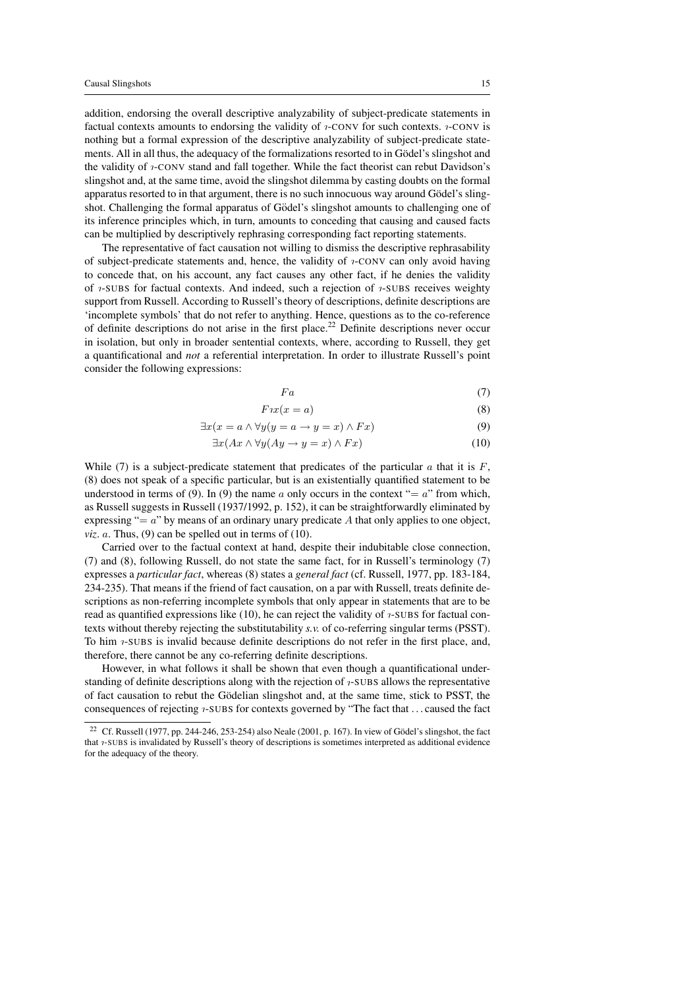addition, endorsing the overall descriptive analyzability of subject-predicate statements in factual contexts amounts to endorsing the validity of  $\imath$ -CONV for such contexts.  $\imath$ -CONV is nothing but a formal expression of the descriptive analyzability of subject-predicate statements. All in all thus, the adequacy of the formalizations resorted to in Gödel's slingshot and the validity of *η*-CONV stand and fall together. While the fact theorist can rebut Davidson's slingshot and, at the same time, avoid the slingshot dilemma by casting doubts on the formal apparatus resorted to in that argument, there is no such innocuous way around Gödel's slingshot. Challenging the formal apparatus of Gödel's slingshot amounts to challenging one of its inference principles which, in turn, amounts to conceding that causing and caused facts can be multiplied by descriptively rephrasing corresponding fact reporting statements.

The representative of fact causation not willing to dismiss the descriptive rephrasability of subject-predicate statements and, hence, the validity of *γ*-CONV can only avoid having to concede that, on his account, any fact causes any other fact, if he denies the validity of *1*-SUBS for factual contexts. And indeed, such a rejection of *1*-SUBS receives weighty support from Russell. According to Russell's theory of descriptions, definite descriptions are 'incomplete symbols' that do not refer to anything. Hence, questions as to the co-reference of definite descriptions do not arise in the first place.<sup>22</sup> Definite descriptions never occur in isolation, but only in broader sentential contexts, where, according to Russell, they get a quantificational and *not* a referential interpretation. In order to illustrate Russell's point consider the following expressions:

$$
Fa \tag{7}
$$

$$
F\iota x(x=a) \tag{8}
$$

$$
\exists x (x = a \land \forall y (y = a \to y = x) \land Fx) \tag{9}
$$

$$
\exists x (Ax \land \forall y (Ay \to y = x) \land Fx) \tag{10}
$$

While (7) is a subject-predicate statement that predicates of the particular  $\alpha$  that it is  $F$ , (8) does not speak of a specific particular, but is an existentially quantified statement to be understood in terms of (9). In (9) the name a only occurs in the context "=  $a$ " from which, as Russell suggests in Russell (1937/1992, p. 152), it can be straightforwardly eliminated by expressing " $= a$ " by means of an ordinary unary predicate A that only applies to one object,  $viz. a. Thus, (9) can be spelled out in terms of  $(10)$ .$ 

Carried over to the factual context at hand, despite their indubitable close connection, (7) and (8), following Russell, do not state the same fact, for in Russell's terminology (7) expresses a *particular fact*, whereas (8) states a *general fact* (cf. Russell, 1977, pp. 183-184, 234-235). That means if the friend of fact causation, on a par with Russell, treats definite descriptions as non-referring incomplete symbols that only appear in statements that are to be read as quantified expressions like  $(10)$ , he can reject the validity of  $i$ -SUBS for factual contexts without thereby rejecting the substitutability *s.v.* of co-referring singular terms (PSST). To him  $\alpha$ -SUBS is invalid because definite descriptions do not refer in the first place, and, therefore, there cannot be any co-referring definite descriptions.

However, in what follows it shall be shown that even though a quantificational understanding of definite descriptions along with the rejection of  $i$ -SUBS allows the representative of fact causation to rebut the Gödelian slingshot and, at the same time, stick to PSST, the consequences of rejecting  $\nu$ -SUBS for contexts governed by "The fact that ... caused the fact

Cf. Russell (1977, pp. 244-246, 253-254) also Neale (2001, p. 167). In view of Gödel's slingshot, the fact that  $\eta$ -SUBS is invalidated by Russell's theory of descriptions is sometimes interpreted as additional evidence for the adequacy of the theory.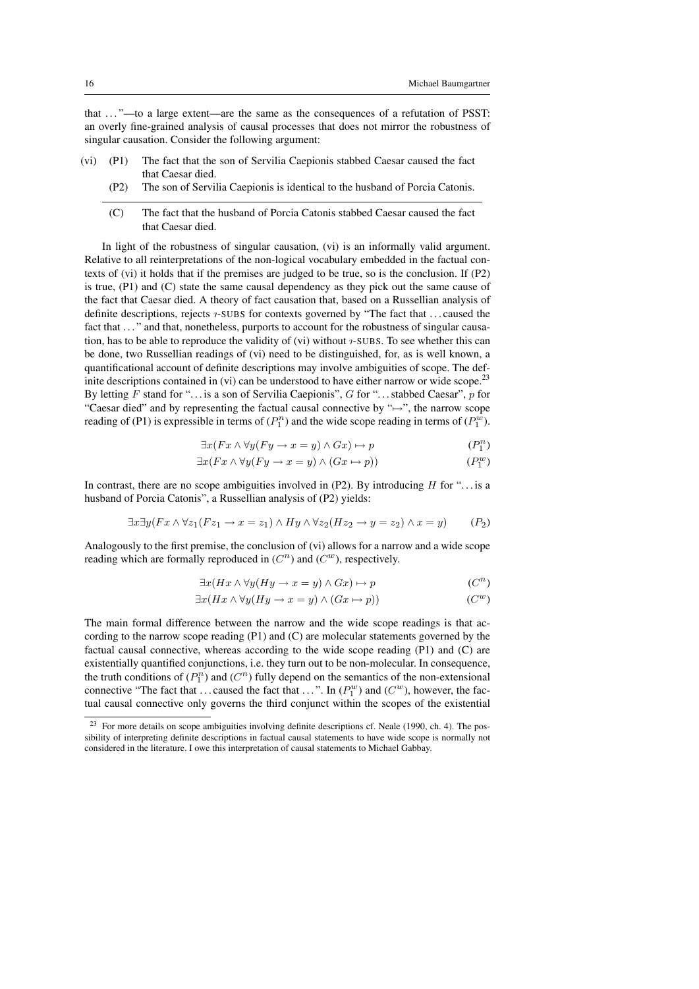that . . . "—to a large extent—are the same as the consequences of a refutation of PSST: an overly fine-grained analysis of causal processes that does not mirror the robustness of singular causation. Consider the following argument:

- (vi) (P1) The fact that the son of Servilia Caepionis stabbed Caesar caused the fact that Caesar died.
	- (P2) The son of Servilia Caepionis is identical to the husband of Porcia Catonis.
	- (C) The fact that the husband of Porcia Catonis stabbed Caesar caused the fact that Caesar died.

In light of the robustness of singular causation, (vi) is an informally valid argument. Relative to all reinterpretations of the non-logical vocabulary embedded in the factual contexts of (vi) it holds that if the premises are judged to be true, so is the conclusion. If (P2) is true, (P1) and (C) state the same causal dependency as they pick out the same cause of the fact that Caesar died. A theory of fact causation that, based on a Russellian analysis of definite descriptions, rejects *1*-SUBS for contexts governed by "The fact that ... caused the fact that ..." and that, nonetheless, purports to account for the robustness of singular causation, has to be able to reproduce the validity of (vi) without  $\gamma$ -SUBS. To see whether this can be done, two Russellian readings of (vi) need to be distinguished, for, as is well known, a quantificational account of definite descriptions may involve ambiguities of scope. The definite descriptions contained in (vi) can be understood to have either narrow or wide scope.<sup>23</sup> By letting  $F$  stand for "... is a son of Servilia Caepionis",  $G$  for "... stabbed Caesar",  $p$  for "Caesar died" and by representing the factual causal connective by " $\mapsto$ ", the narrow scope reading of (P1) is expressible in terms of  $(P_1^n)$  and the wide scope reading in terms of  $(P_1^w)$ .

$$
\exists x (Fx \land \forall y (Fy \to x = y) \land Gx) \mapsto p \tag{P_1^n}
$$

$$
\exists x (Fx \land \forall y (Fy \to x = y) \land (Gx \to p))
$$
\n
$$
(P_1^w)
$$

In contrast, there are no scope ambiguities involved in  $(P2)$ . By introducing H for "... is a husband of Porcia Catonis", a Russellian analysis of (P2) yields:

$$
\exists x \exists y (Fx \land \forall z_1 (Fz_1 \to x = z_1) \land Hy \land \forall z_2 (Hz_2 \to y = z_2) \land x = y)
$$
 (P<sub>2</sub>)

Analogously to the first premise, the conclusion of (vi) allows for a narrow and a wide scope reading which are formally reproduced in  $(C^n)$  and  $(C^w)$ , respectively.

$$
\exists x (Hx \land \forall y (Hy \to x = y) \land Gx) \mapsto p \tag{C^n}
$$

$$
\exists x (Hx \land \forall y (Hy \to x = y) \land (Gx \mapsto p))
$$
 (C<sup>w</sup>)

The main formal difference between the narrow and the wide scope readings is that according to the narrow scope reading (P1) and (C) are molecular statements governed by the factual causal connective, whereas according to the wide scope reading (P1) and (C) are existentially quantified conjunctions, i.e. they turn out to be non-molecular. In consequence, the truth conditions of  $(P_1^n)$  and  $(C^n)$  fully depend on the semantics of the non-extensional connective "The fact that ... caused the fact that ...". In  $(P_1^w)$  and  $(C^w)$ , however, the factual causal connective only governs the third conjunct within the scopes of the existential

<sup>&</sup>lt;sup>23</sup> For more details on scope ambiguities involving definite descriptions cf. Neale (1990, ch. 4). The possibility of interpreting definite descriptions in factual causal statements to have wide scope is normally not considered in the literature. I owe this interpretation of causal statements to Michael Gabbay.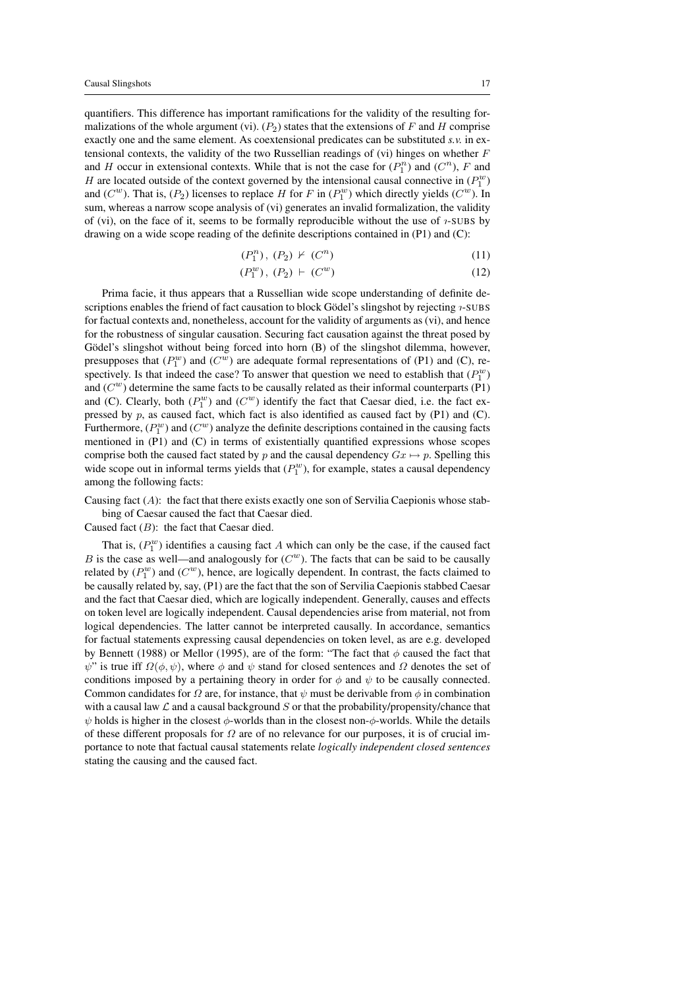quantifiers. This difference has important ramifications for the validity of the resulting formalizations of the whole argument (vi).  $(P_2)$  states that the extensions of F and H comprise exactly one and the same element. As coextensional predicates can be substituted *s.v.* in extensional contexts, the validity of the two Russellian readings of (vi) hinges on whether  $F$ and H occur in extensional contexts. While that is not the case for  $(P_1^n)$  and  $(C^n)$ , F and H are located outside of the context governed by the intensional causal connective in  $(P_1^w)$ and  $(C^w)$ . That is,  $(P_2)$  licenses to replace H for F in  $(P_1^w)$  which directly yields  $(C^w)$ . In sum, whereas a narrow scope analysis of (vi) generates an invalid formalization, the validity of (vi), on the face of it, seems to be formally reproducible without the use of  $\tau$ -SUBS by drawing on a wide scope reading of the definite descriptions contained in (P1) and (C):

$$
(P_1^n), (P_2) \not\vdash (C^n) \tag{11}
$$

$$
(P_1^w), (P_2) \vdash (C^w) \tag{12}
$$

Prima facie, it thus appears that a Russellian wide scope understanding of definite descriptions enables the friend of fact causation to block Gödel's slingshot by rejecting  $i$ -SUBS for factual contexts and, nonetheless, account for the validity of arguments as (vi), and hence for the robustness of singular causation. Securing fact causation against the threat posed by Gödel's slingshot without being forced into horn (B) of the slingshot dilemma, however, presupposes that  $(P_1^w)$  and  $(C^w)$  are adequate formal representations of (P1) and (C), respectively. Is that indeed the case? To answer that question we need to establish that  $(P_1^w)$ and  $(C^w)$  determine the same facts to be causally related as their informal counterparts (P1) and (C). Clearly, both  $(P_1^w)$  and  $(C^w)$  identify the fact that Caesar died, i.e. the fact expressed by  $p$ , as caused fact, which fact is also identified as caused fact by (P1) and (C). Furthermore,  $(P_1^w)$  and  $(C^w)$  analyze the definite descriptions contained in the causing facts mentioned in (P1) and (C) in terms of existentially quantified expressions whose scopes comprise both the caused fact stated by p and the causal dependency  $Gx \mapsto p$ . Spelling this wide scope out in informal terms yields that  $(P_1^w)$ , for example, states a causal dependency among the following facts:

Causing fact  $(A)$ : the fact that there exists exactly one son of Servilia Caepionis whose stab-

bing of Caesar caused the fact that Caesar died.

Caused fact  $(B)$ : the fact that Caesar died.

That is,  $(P_1^w)$  identifies a causing fact A which can only be the case, if the caused fact B is the case as well—and analogously for  $(C^w)$ . The facts that can be said to be causally related by  $(P_1^w)$  and  $(C^w)$ , hence, are logically dependent. In contrast, the facts claimed to be causally related by, say, (P1) are the fact that the son of Servilia Caepionis stabbed Caesar and the fact that Caesar died, which are logically independent. Generally, causes and effects on token level are logically independent. Causal dependencies arise from material, not from logical dependencies. The latter cannot be interpreted causally. In accordance, semantics for factual statements expressing causal dependencies on token level, as are e.g. developed by Bennett (1988) or Mellor (1995), are of the form: "The fact that  $\phi$  caused the fact that  $\psi$ " is true iff  $\Omega(\phi, \psi)$ , where  $\phi$  and  $\psi$  stand for closed sentences and  $\Omega$  denotes the set of conditions imposed by a pertaining theory in order for  $\phi$  and  $\psi$  to be causally connected. Common candidates for  $\Omega$  are, for instance, that  $\psi$  must be derivable from  $\phi$  in combination with a causal law  $\mathcal L$  and a causal background  $S$  or that the probability/propensity/chance that  $\psi$  holds is higher in the closest  $\phi$ -worlds than in the closest non- $\phi$ -worlds. While the details of these different proposals for  $\Omega$  are of no relevance for our purposes, it is of crucial importance to note that factual causal statements relate *logically independent closed sentences* stating the causing and the caused fact.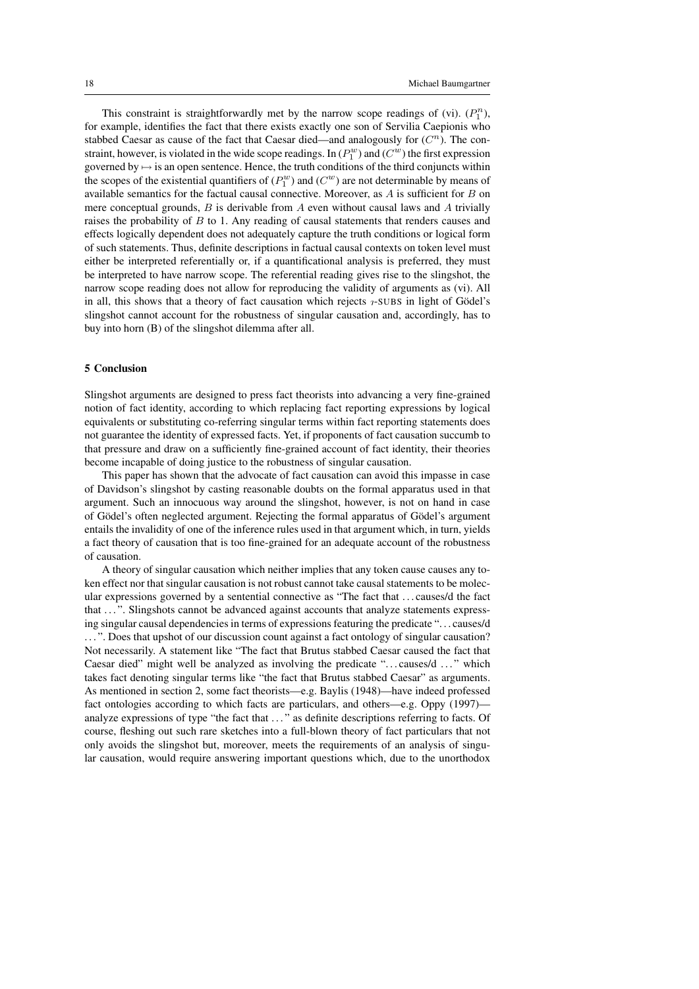This constraint is straightforwardly met by the narrow scope readings of (vi).  $(P_1^n)$ , for example, identifies the fact that there exists exactly one son of Servilia Caepionis who stabbed Caesar as cause of the fact that Caesar died—and analogously for  $(C<sup>n</sup>)$ . The constraint, however, is violated in the wide scope readings. In  $(P_1^w)$  and  $(C^w)$  the first expression governed by  $\mapsto$  is an open sentence. Hence, the truth conditions of the third conjuncts within the scopes of the existential quantifiers of  $(P_1^w)$  and  $(C^w)$  are not determinable by means of available semantics for the factual causal connective. Moreover, as  $A$  is sufficient for  $B$  on mere conceptual grounds,  $B$  is derivable from  $A$  even without causal laws and  $A$  trivially raises the probability of B to 1. Any reading of causal statements that renders causes and effects logically dependent does not adequately capture the truth conditions or logical form of such statements. Thus, definite descriptions in factual causal contexts on token level must either be interpreted referentially or, if a quantificational analysis is preferred, they must be interpreted to have narrow scope. The referential reading gives rise to the slingshot, the narrow scope reading does not allow for reproducing the validity of arguments as (vi). All in all, this shows that a theory of fact causation which rejects  $\alpha$ -SUBS in light of Gödel's slingshot cannot account for the robustness of singular causation and, accordingly, has to buy into horn (B) of the slingshot dilemma after all.

### 5 Conclusion

Slingshot arguments are designed to press fact theorists into advancing a very fine-grained notion of fact identity, according to which replacing fact reporting expressions by logical equivalents or substituting co-referring singular terms within fact reporting statements does not guarantee the identity of expressed facts. Yet, if proponents of fact causation succumb to that pressure and draw on a sufficiently fine-grained account of fact identity, their theories become incapable of doing justice to the robustness of singular causation.

This paper has shown that the advocate of fact causation can avoid this impasse in case of Davidson's slingshot by casting reasonable doubts on the formal apparatus used in that argument. Such an innocuous way around the slingshot, however, is not on hand in case of Gödel's often neglected argument. Rejecting the formal apparatus of Gödel's argument entails the invalidity of one of the inference rules used in that argument which, in turn, yields a fact theory of causation that is too fine-grained for an adequate account of the robustness of causation.

A theory of singular causation which neither implies that any token cause causes any token effect nor that singular causation is not robust cannot take causal statements to be molecular expressions governed by a sentential connective as "The fact that . . . causes/d the fact that ...". Slingshots cannot be advanced against accounts that analyze statements expressing singular causal dependencies in terms of expressions featuring the predicate ". . . causes/d ...". Does that upshot of our discussion count against a fact ontology of singular causation? Not necessarily. A statement like "The fact that Brutus stabbed Caesar caused the fact that Caesar died" might well be analyzed as involving the predicate "...causes/d ..." which takes fact denoting singular terms like "the fact that Brutus stabbed Caesar" as arguments. As mentioned in section 2, some fact theorists—e.g. Baylis (1948)—have indeed professed fact ontologies according to which facts are particulars, and others—e.g. Oppy (1997) analyze expressions of type "the fact that . . . " as definite descriptions referring to facts. Of course, fleshing out such rare sketches into a full-blown theory of fact particulars that not only avoids the slingshot but, moreover, meets the requirements of an analysis of singular causation, would require answering important questions which, due to the unorthodox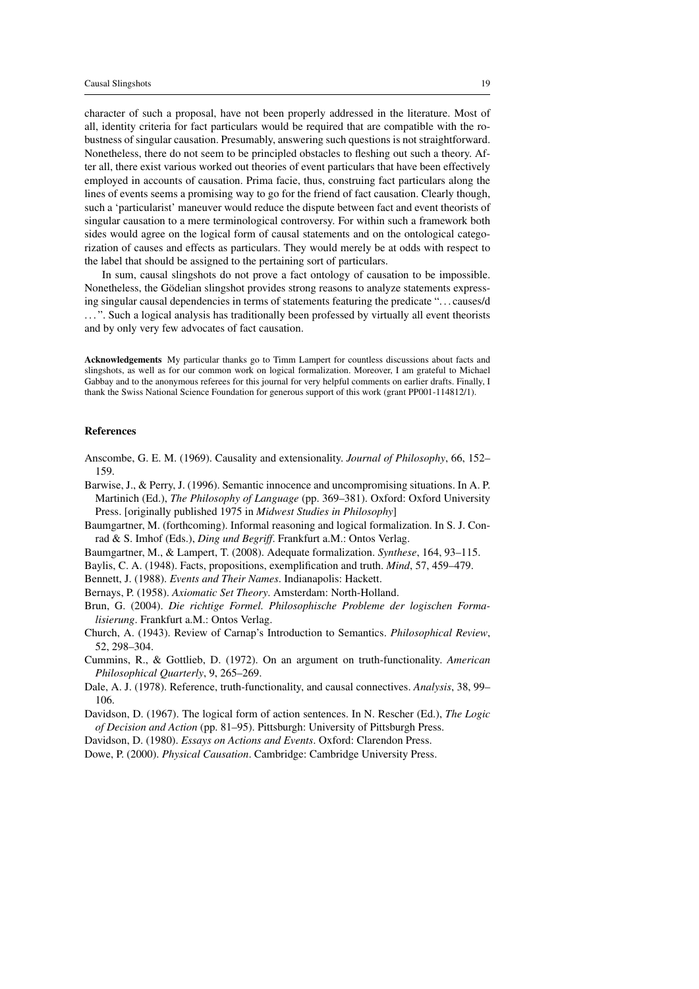character of such a proposal, have not been properly addressed in the literature. Most of all, identity criteria for fact particulars would be required that are compatible with the robustness of singular causation. Presumably, answering such questions is not straightforward. Nonetheless, there do not seem to be principled obstacles to fleshing out such a theory. After all, there exist various worked out theories of event particulars that have been effectively employed in accounts of causation. Prima facie, thus, construing fact particulars along the lines of events seems a promising way to go for the friend of fact causation. Clearly though, such a 'particularist' maneuver would reduce the dispute between fact and event theorists of singular causation to a mere terminological controversy. For within such a framework both sides would agree on the logical form of causal statements and on the ontological categorization of causes and effects as particulars. They would merely be at odds with respect to the label that should be assigned to the pertaining sort of particulars.

In sum, causal slingshots do not prove a fact ontology of causation to be impossible. Nonetheless, the Gödelian slingshot provides strong reasons to analyze statements expressing singular causal dependencies in terms of statements featuring the predicate ". . . causes/d ...". Such a logical analysis has traditionally been professed by virtually all event theorists and by only very few advocates of fact causation.

Acknowledgements My particular thanks go to Timm Lampert for countless discussions about facts and slingshots, as well as for our common work on logical formalization. Moreover, I am grateful to Michael Gabbay and to the anonymous referees for this journal for very helpful comments on earlier drafts. Finally, I thank the Swiss National Science Foundation for generous support of this work (grant PP001-114812/1).

#### References

- Anscombe, G. E. M. (1969). Causality and extensionality. *Journal of Philosophy*, 66, 152– 159.
- Barwise, J., & Perry, J. (1996). Semantic innocence and uncompromising situations. In A. P. Martinich (Ed.), *The Philosophy of Language* (pp. 369–381). Oxford: Oxford University Press. [originally published 1975 in *Midwest Studies in Philosophy*]
- Baumgartner, M. (forthcoming). Informal reasoning and logical formalization. In S. J. Conrad & S. Imhof (Eds.), *Ding und Begriff*. Frankfurt a.M.: Ontos Verlag.
- Baumgartner, M., & Lampert, T. (2008). Adequate formalization. *Synthese*, 164, 93–115.
- Baylis, C. A. (1948). Facts, propositions, exemplification and truth. *Mind*, 57, 459–479.
- Bennett, J. (1988). *Events and Their Names*. Indianapolis: Hackett.
- Bernays, P. (1958). *Axiomatic Set Theory*. Amsterdam: North-Holland.
- Brun, G. (2004). *Die richtige Formel. Philosophische Probleme der logischen Formalisierung*. Frankfurt a.M.: Ontos Verlag.
- Church, A. (1943). Review of Carnap's Introduction to Semantics. *Philosophical Review*, 52, 298–304.
- Cummins, R., & Gottlieb, D. (1972). On an argument on truth-functionality. *American Philosophical Quarterly*, 9, 265–269.
- Dale, A. J. (1978). Reference, truth-functionality, and causal connectives. *Analysis*, 38, 99– 106.
- Davidson, D. (1967). The logical form of action sentences. In N. Rescher (Ed.), *The Logic of Decision and Action* (pp. 81–95). Pittsburgh: University of Pittsburgh Press.
- Davidson, D. (1980). *Essays on Actions and Events*. Oxford: Clarendon Press.
- Dowe, P. (2000). *Physical Causation*. Cambridge: Cambridge University Press.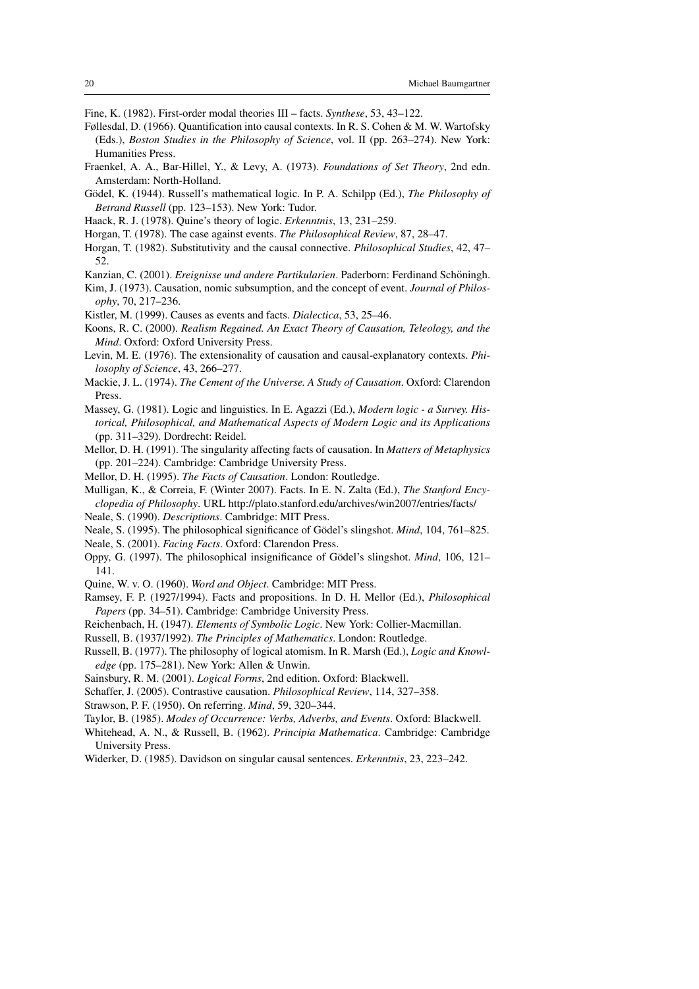- Fine, K. (1982). First-order modal theories III facts. *Synthese*, 53, 43–122.
- Føllesdal, D. (1966). Quantification into causal contexts. In R. S. Cohen & M. W. Wartofsky (Eds.), *Boston Studies in the Philosophy of Science*, vol. II (pp. 263–274). New York: Humanities Press.
- Fraenkel, A. A., Bar-Hillel, Y., & Levy, A. (1973). *Foundations of Set Theory*, 2nd edn. Amsterdam: North-Holland.
- Gödel, K. (1944). Russell's mathematical logic. In P. A. Schilpp (Ed.), *The Philosophy of Betrand Russell* (pp. 123–153). New York: Tudor.
- Haack, R. J. (1978). Quine's theory of logic. *Erkenntnis*, 13, 231–259.
- Horgan, T. (1978). The case against events. *The Philosophical Review*, 87, 28–47.
- Horgan, T. (1982). Substitutivity and the causal connective. *Philosophical Studies*, 42, 47– 52.
- Kanzian, C. (2001). *Ereignisse und andere Partikularien*. Paderborn: Ferdinand Schoningh. ¨
- Kim, J. (1973). Causation, nomic subsumption, and the concept of event. *Journal of Philosophy*, 70, 217–236.
- Kistler, M. (1999). Causes as events and facts. *Dialectica*, 53, 25–46.
- Koons, R. C. (2000). *Realism Regained. An Exact Theory of Causation, Teleology, and the Mind*. Oxford: Oxford University Press.
- Levin, M. E. (1976). The extensionality of causation and causal-explanatory contexts. *Philosophy of Science*, 43, 266–277.
- Mackie, J. L. (1974). *The Cement of the Universe. A Study of Causation*. Oxford: Clarendon Press.
- Massey, G. (1981). Logic and linguistics. In E. Agazzi (Ed.), *Modern logic a Survey. Historical, Philosophical, and Mathematical Aspects of Modern Logic and its Applications* (pp. 311–329). Dordrecht: Reidel.
- Mellor, D. H. (1991). The singularity affecting facts of causation. In *Matters of Metaphysics* (pp. 201–224). Cambridge: Cambridge University Press.
- Mellor, D. H. (1995). *The Facts of Causation*. London: Routledge.
- Mulligan, K., & Correia, F. (Winter 2007). Facts. In E. N. Zalta (Ed.), *The Stanford Encyclopedia of Philosophy*. URL http://plato.stanford.edu/archives/win2007/entries/facts/
- Neale, S. (1990). *Descriptions*. Cambridge: MIT Press.
- Neale, S. (1995). The philosophical significance of Gödel's slingshot. *Mind*, 104, 761–825.
- Neale, S. (2001). *Facing Facts*. Oxford: Clarendon Press.
- Oppy, G. (1997). The philosophical insignificance of Gödel's slingshot. *Mind*, 106, 121– 141.
- Quine, W. v. O. (1960). *Word and Object*. Cambridge: MIT Press.
- Ramsey, F. P. (1927/1994). Facts and propositions. In D. H. Mellor (Ed.), *Philosophical Papers* (pp. 34–51). Cambridge: Cambridge University Press.
- Reichenbach, H. (1947). *Elements of Symbolic Logic*. New York: Collier-Macmillan.
- Russell, B. (1937/1992). *The Principles of Mathematics*. London: Routledge.
- Russell, B. (1977). The philosophy of logical atomism. In R. Marsh (Ed.), *Logic and Knowledge* (pp. 175–281). New York: Allen & Unwin.
- Sainsbury, R. M. (2001). *Logical Forms*, 2nd edition. Oxford: Blackwell.
- Schaffer, J. (2005). Contrastive causation. *Philosophical Review*, 114, 327–358.
- Strawson, P. F. (1950). On referring. *Mind*, 59, 320–344.
- Taylor, B. (1985). *Modes of Occurrence: Verbs, Adverbs, and Events*. Oxford: Blackwell.
- Whitehead, A. N., & Russell, B. (1962). *Principia Mathematica*. Cambridge: Cambridge University Press.
- Widerker, D. (1985). Davidson on singular causal sentences. *Erkenntnis*, 23, 223–242.